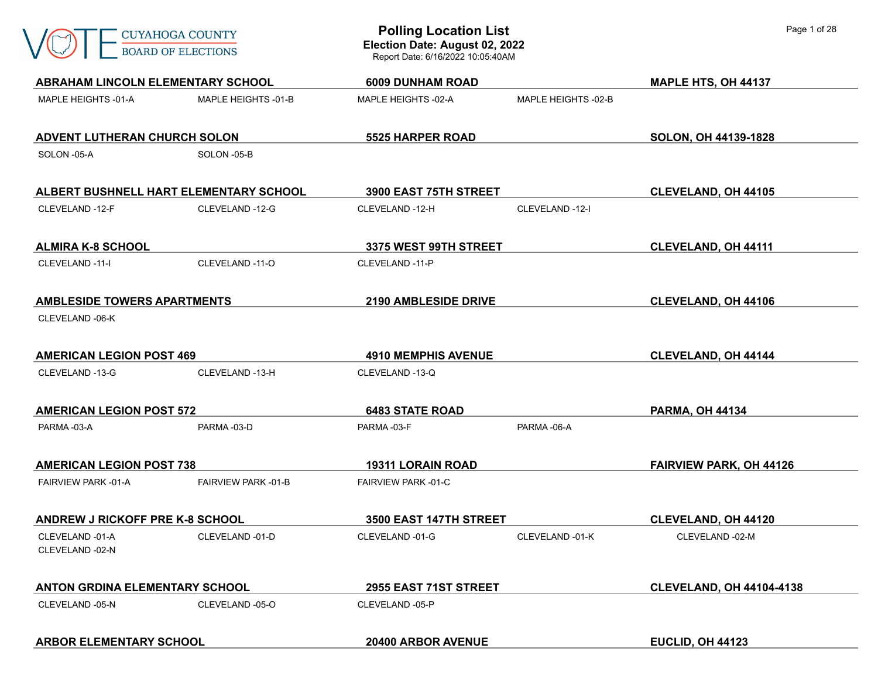

| <b>ABRAHAM LINCOLN ELEMENTARY SCHOOL</b> |                                        | <b>6009 DUNHAM ROAD</b>    |                     | MAPLE HTS, OH 44137             |
|------------------------------------------|----------------------------------------|----------------------------|---------------------|---------------------------------|
| MAPLE HEIGHTS -01-A                      | MAPLE HEIGHTS -01-B                    | MAPLE HEIGHTS -02-A        | MAPLE HEIGHTS -02-B |                                 |
| ADVENT LUTHERAN CHURCH SOLON             |                                        | <b>5525 HARPER ROAD</b>    |                     | SOLON, OH 44139-1828            |
| SOLON -05-A                              | SOLON -05-B                            |                            |                     |                                 |
|                                          | ALBERT BUSHNELL HART ELEMENTARY SCHOOL | 3900 EAST 75TH STREET      |                     | <b>CLEVELAND, OH 44105</b>      |
| CLEVELAND -12-F                          | CLEVELAND -12-G                        | CLEVELAND -12-H            | CLEVELAND -12-I     |                                 |
| <b>ALMIRA K-8 SCHOOL</b>                 |                                        | 3375 WEST 99TH STREET      |                     | <b>CLEVELAND, OH 44111</b>      |
| CLEVELAND -11-I                          | CLEVELAND -11-O                        | CLEVELAND -11-P            |                     |                                 |
| <b>AMBLESIDE TOWERS APARTMENTS</b>       |                                        | 2190 AMBLESIDE DRIVE       |                     | <b>CLEVELAND, OH 44106</b>      |
| CLEVELAND -06-K                          |                                        |                            |                     |                                 |
| <b>AMERICAN LEGION POST 469</b>          |                                        | <b>4910 MEMPHIS AVENUE</b> |                     | <b>CLEVELAND, OH 44144</b>      |
| CLEVELAND -13-G                          | CLEVELAND -13-H                        | CLEVELAND -13-Q            |                     |                                 |
| <b>AMERICAN LEGION POST 572</b>          |                                        | <b>6483 STATE ROAD</b>     |                     | <b>PARMA, OH 44134</b>          |
| PARMA-03-A                               | PARMA-03-D                             | PARMA-03-F                 | PARMA-06-A          |                                 |
| <b>AMERICAN LEGION POST 738</b>          |                                        | <b>19311 LORAIN ROAD</b>   |                     | <b>FAIRVIEW PARK, OH 44126</b>  |
| <b>FAIRVIEW PARK-01-A</b>                | <b>FAIRVIEW PARK -01-B</b>             | <b>FAIRVIEW PARK-01-C</b>  |                     |                                 |
| <b>ANDREW J RICKOFF PRE K-8 SCHOOL</b>   |                                        | 3500 EAST 147TH STREET     |                     | <b>CLEVELAND, OH 44120</b>      |
| CLEVELAND -01-A<br>CLEVELAND -02-N       | CLEVELAND -01-D                        | CLEVELAND -01-G            | CLEVELAND -01-K     | CLEVELAND -02-M                 |
| <b>ANTON GRDINA ELEMENTARY SCHOOL</b>    |                                        | 2955 EAST 71ST STREET      |                     | <b>CLEVELAND, OH 44104-4138</b> |
| CLEVELAND -05-N                          | CLEVELAND -05-O                        | CLEVELAND -05-P            |                     |                                 |
| <b>ARBOR ELEMENTARY SCHOOL</b>           |                                        | 20400 ARBOR AVENUE         |                     | EUCLID, OH 44123                |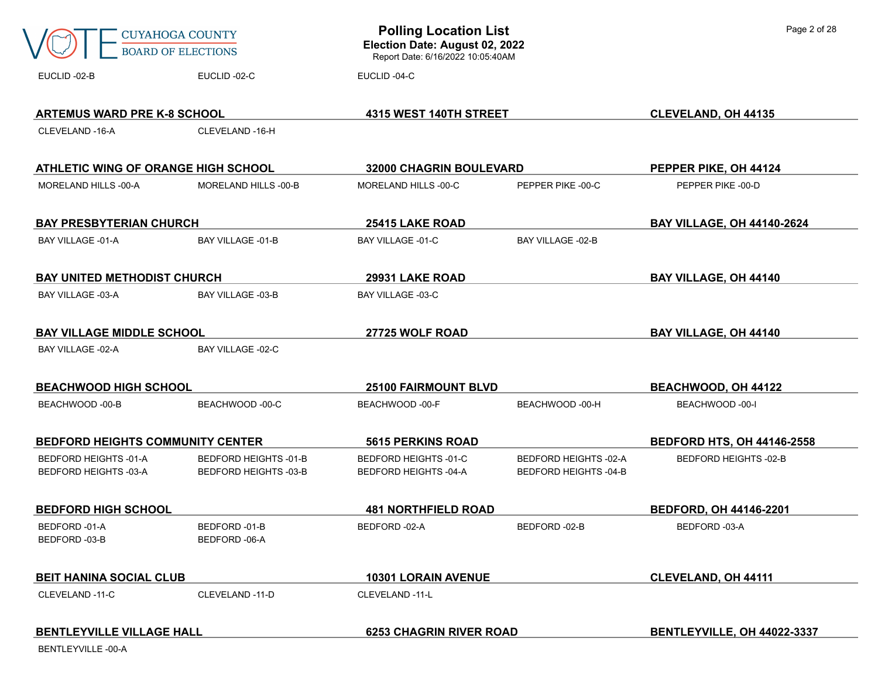|                                                              | <b>CUYAHOGA COUNTY</b><br><b>BOARD OF ELECTIONS</b>          | <b>Polling Location List</b><br>Election Date: August 02, 2022<br>Report Date: 6/16/2022 10:05:40AM |                                                              | Page 2 of 28                      |
|--------------------------------------------------------------|--------------------------------------------------------------|-----------------------------------------------------------------------------------------------------|--------------------------------------------------------------|-----------------------------------|
| EUCLID-02-B                                                  | EUCLID-02-C                                                  | EUCLID-04-C                                                                                         |                                                              |                                   |
| <b>ARTEMUS WARD PRE K-8 SCHOOL</b>                           |                                                              | 4315 WEST 140TH STREET                                                                              |                                                              | <b>CLEVELAND, OH 44135</b>        |
| CLEVELAND -16-A                                              | CLEVELAND -16-H                                              |                                                                                                     |                                                              |                                   |
| ATHLETIC WING OF ORANGE HIGH SCHOOL                          |                                                              | <b>32000 CHAGRIN BOULEVARD</b>                                                                      |                                                              | PEPPER PIKE, OH 44124             |
| MORELAND HILLS -00-A                                         | MORELAND HILLS -00-B                                         | MORELAND HILLS -00-C                                                                                | PEPPER PIKE -00-C                                            | PEPPER PIKE -00-D                 |
| <b>BAY PRESBYTERIAN CHURCH</b>                               |                                                              | 25415 LAKE ROAD                                                                                     |                                                              | <b>BAY VILLAGE, OH 44140-2624</b> |
| <b>BAY VILLAGE -01-A</b>                                     | <b>BAY VILLAGE -01-B</b>                                     | <b>BAY VILLAGE -01-C</b>                                                                            | <b>BAY VILLAGE -02-B</b>                                     |                                   |
| <b>BAY UNITED METHODIST CHURCH</b>                           |                                                              | 29931 LAKE ROAD                                                                                     |                                                              | <b>BAY VILLAGE, OH 44140</b>      |
| BAY VILLAGE -03-A                                            | BAY VILLAGE -03-B                                            | BAY VILLAGE -03-C                                                                                   |                                                              |                                   |
| <b>BAY VILLAGE MIDDLE SCHOOL</b>                             |                                                              | 27725 WOLF ROAD                                                                                     |                                                              | <b>BAY VILLAGE, OH 44140</b>      |
| BAY VILLAGE -02-A                                            | <b>BAY VILLAGE -02-C</b>                                     |                                                                                                     |                                                              |                                   |
| <b>BEACHWOOD HIGH SCHOOL</b>                                 |                                                              | <b>25100 FAIRMOUNT BLVD</b>                                                                         |                                                              | <b>BEACHWOOD, OH 44122</b>        |
| BEACHWOOD -00-B                                              | BEACHWOOD -00-C                                              | BEACHWOOD -00-F                                                                                     | BEACHWOOD -00-H                                              | BEACHWOOD -00-I                   |
| <b>BEDFORD HEIGHTS COMMUNITY CENTER</b>                      |                                                              | <b>5615 PERKINS ROAD</b>                                                                            |                                                              | <b>BEDFORD HTS, OH 44146-2558</b> |
| <b>BEDFORD HEIGHTS -01-A</b><br><b>BEDFORD HEIGHTS -03-A</b> | <b>BEDFORD HEIGHTS -01-B</b><br><b>BEDFORD HEIGHTS -03-B</b> | BEDFORD HEIGHTS -01-C<br>BEDFORD HEIGHTS -04-A                                                      | <b>BEDFORD HEIGHTS -02-A</b><br><b>BEDFORD HEIGHTS -04-B</b> | <b>BEDFORD HEIGHTS -02-B</b>      |
| <b>BEDFORD HIGH SCHOOL</b>                                   |                                                              | <b>481 NORTHFIELD ROAD</b>                                                                          |                                                              | <b>BEDFORD, OH 44146-2201</b>     |
| BEDFORD -01-A<br>BEDFORD -03-B                               | BEDFORD -01-B<br>BEDFORD -06-A                               | BEDFORD -02-A                                                                                       | BEDFORD -02-B                                                | BEDFORD -03-A                     |
| <b>BEIT HANINA SOCIAL CLUB</b>                               |                                                              | <b>10301 LORAIN AVENUE</b>                                                                          |                                                              | <b>CLEVELAND, OH 44111</b>        |
| CLEVELAND -11-C                                              | CLEVELAND -11-D                                              | CLEVELAND -11-L                                                                                     |                                                              |                                   |
| <b>BENTLEYVILLE VILLAGE HALL</b>                             |                                                              | <b>6253 CHAGRIN RIVER ROAD</b>                                                                      |                                                              | BENTLEYVILLE, OH 44022-3337       |

BENTLEYVILLE -00-A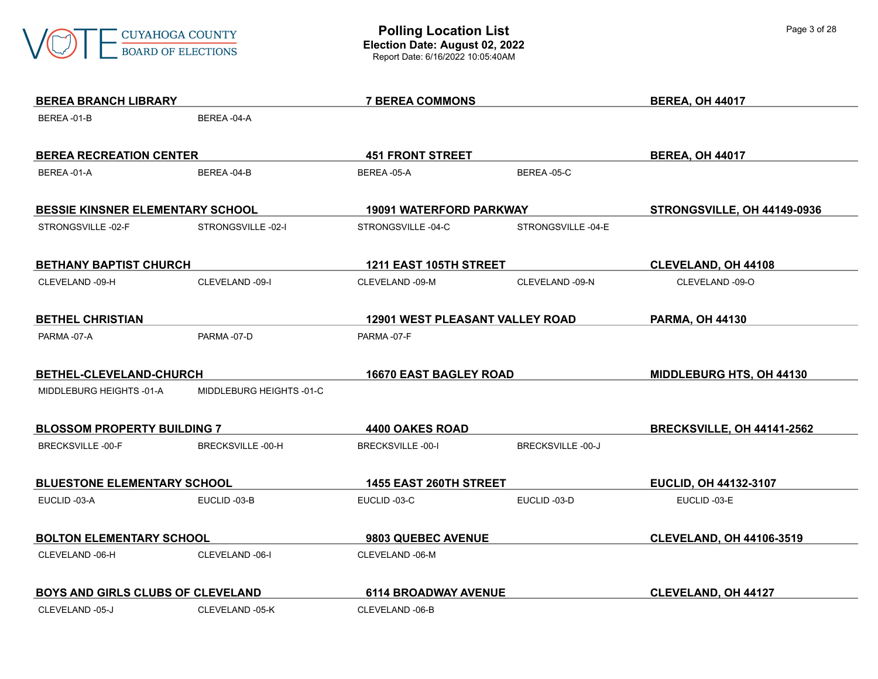

| <b>BEREA BRANCH LIBRARY</b>             |                          | <b>7 BEREA COMMONS</b>                 |                   | <b>BEREA, OH 44017</b>            |
|-----------------------------------------|--------------------------|----------------------------------------|-------------------|-----------------------------------|
| BEREA-01-B                              | BEREA-04-A               |                                        |                   |                                   |
|                                         |                          |                                        |                   |                                   |
| <b>BEREA RECREATION CENTER</b>          |                          | <b>451 FRONT STREET</b>                |                   | <b>BEREA, OH 44017</b>            |
| BEREA-01-A                              | BEREA-04-B               | BEREA-05-A                             | BEREA-05-C        |                                   |
| <b>BESSIE KINSNER ELEMENTARY SCHOOL</b> |                          | 19091 WATERFORD PARKWAY                |                   | STRONGSVILLE, OH 44149-0936       |
| STRONGSVILLE-02-F                       | STRONGSVILLE-02-I        | STRONGSVILLE-04-C                      | STRONGSVILLE-04-E |                                   |
| <b>BETHANY BAPTIST CHURCH</b>           |                          | 1211 EAST 105TH STREET                 |                   | <b>CLEVELAND, OH 44108</b>        |
| CLEVELAND -09-H                         | CLEVELAND -09-I          | CLEVELAND -09-M                        | CLEVELAND -09-N   | CLEVELAND -09-O                   |
|                                         |                          |                                        |                   |                                   |
| <b>BETHEL CHRISTIAN</b>                 |                          | <b>12901 WEST PLEASANT VALLEY ROAD</b> |                   | <b>PARMA, OH 44130</b>            |
| PARMA-07-A                              | PARMA-07-D               | PARMA-07-F                             |                   |                                   |
|                                         |                          |                                        |                   |                                   |
| BETHEL-CLEVELAND-CHURCH                 |                          | <b>16670 EAST BAGLEY ROAD</b>          |                   | <b>MIDDLEBURG HTS, OH 44130</b>   |
| MIDDLEBURG HEIGHTS -01-A                | MIDDLEBURG HEIGHTS -01-C |                                        |                   |                                   |
| <b>BLOSSOM PROPERTY BUILDING 7</b>      |                          | 4400 OAKES ROAD                        |                   | <b>BRECKSVILLE, OH 44141-2562</b> |
| <b>BRECKSVILLE-00-F</b>                 | BRECKSVILLE-00-H         | <b>BRECKSVILLE-00-I</b>                | BRECKSVILLE-00-J  |                                   |
|                                         |                          |                                        |                   |                                   |
| <b>BLUESTONE ELEMENTARY SCHOOL</b>      |                          | 1455 EAST 260TH STREET                 |                   | EUCLID, OH 44132-3107             |
| EUCLID-03-A                             | EUCLID-03-B              | EUCLID-03-C                            | EUCLID-03-D       | EUCLID-03-E                       |
| <b>BOLTON ELEMENTARY SCHOOL</b>         |                          | 9803 QUEBEC AVENUE                     |                   | <b>CLEVELAND, OH 44106-3519</b>   |
| CLEVELAND -06-H                         | CLEVELAND -06-I          | CLEVELAND -06-M                        |                   |                                   |
|                                         |                          |                                        |                   |                                   |
| BOYS AND GIRLS CLUBS OF CLEVELAND       |                          | <b>6114 BROADWAY AVENUE</b>            |                   | <b>CLEVELAND, OH 44127</b>        |
| CLEVELAND -05-J                         | CLEVELAND -05-K          | CLEVELAND -06-B                        |                   |                                   |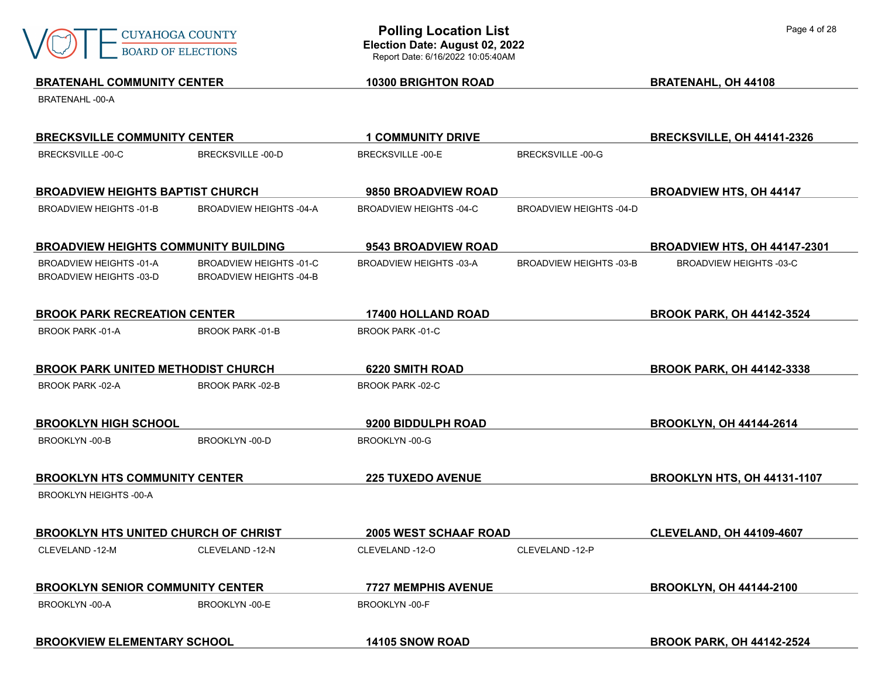

## **BRATENAHL COMMUNITY CENTER 10300 BRIGHTON ROAD BRATENAHL, OH 44108** BRATENAHL -00-A **BRECKSVILLE COMMUNITY CENTER 1 COMMUNITY DRIVE BRECKSVILLE, OH 44141-2326** BRECKSVILLE -00-C BRECKSVILLE -00-D BRECKSVILLE -00-E BRECKSVILLE -00-G **BROADVIEW HEIGHTS BAPTIST CHURCH 9850 BROADVIEW ROAD BROADVIEW HTS, OH 44147** BROADVIEW HEIGHTS -01-B BROADVIEW HEIGHTS -04-A BROADVIEW HEIGHTS -04-C BROADVIEW HEIGHTS -04-D **BROADVIEW HEIGHTS COMMUNITY BUILDING 9543 BROADVIEW ROAD BROADVIEW HTS, OH 44147-2301** BROADVIEW HEIGHTS -01-A BROADVIEW HEIGHTS -01-C BROADVIEW HEIGHTS -03-A BROADVIEW HEIGHTS -03-B BROADVIEW HEIGHTS -03-C BROADVIEW HEIGHTS -03-D BROADVIEW HEIGHTS -04-B **BROOK PARK RECREATION CENTER 17400 HOLLAND ROAD BROOK PARK, OH 44142-3524** BROOK PARK -01-A BROOK PARK -01-B BROOK PARK -01-C **BROOK PARK UNITED METHODIST CHURCH 6220 SMITH ROAD BROOK PARK, OH 44142-3338** BROOK PARK -02-A BROOK PARK -02-B BROOK PARK -02-C **BROOKLYN HIGH SCHOOL 9200 BIDDULPH ROAD BROOKLYN, OH 44144-2614** BROOKLYN -00-B BROOKLYN -00-D BROOKLYN -00-G **BROOKLYN HTS COMMUNITY CENTER 225 TUXEDO AVENUE BROOKLYN HTS, OH 44131-1107** BROOKLYN HEIGHTS -00-A **BROOKLYN HTS UNITED CHURCH OF CHRIST 2005 WEST SCHAAF ROAD CLEVELAND, OH 44109-4607** CLEVELAND -12-M CLEVELAND -12-N CLEVELAND -12-O CLEVELAND -12-P **BROOKLYN SENIOR COMMUNITY CENTER 7727 MEMPHIS AVENUE BROOKLYN, OH 44144-2100** BROOKLYN -00-A BROOKLYN -00-E BROOKLYN -00-F **BROOKVIEW ELEMENTARY SCHOOL 14105 SNOW ROAD BROOK PARK, OH 44142-2524**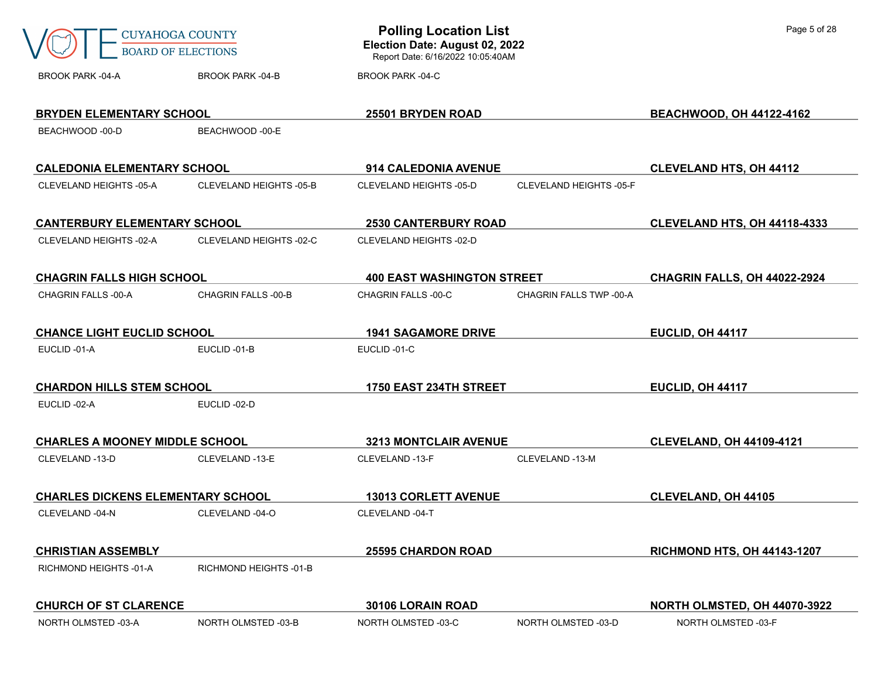|                                          | <b>CUYAHOGA COUNTY</b><br><b>BOARD OF ELECTIONS</b> | <b>Polling Location List</b><br>Election Date: August 02, 2022<br>Report Date: 6/16/2022 10:05:40AM |                         | Page 5 of 28                       |
|------------------------------------------|-----------------------------------------------------|-----------------------------------------------------------------------------------------------------|-------------------------|------------------------------------|
| <b>BROOK PARK -04-A</b>                  | <b>BROOK PARK -04-B</b>                             | <b>BROOK PARK -04-C</b>                                                                             |                         |                                    |
| <b>BRYDEN ELEMENTARY SCHOOL</b>          |                                                     | 25501 BRYDEN ROAD                                                                                   |                         | <b>BEACHWOOD, OH 44122-4162</b>    |
| BEACHWOOD -00-D                          | BEACHWOOD -00-E                                     |                                                                                                     |                         |                                    |
| <b>CALEDONIA ELEMENTARY SCHOOL</b>       |                                                     | 914 CALEDONIA AVENUE                                                                                |                         | <b>CLEVELAND HTS, OH 44112</b>     |
| CLEVELAND HEIGHTS -05-A                  | CLEVELAND HEIGHTS -05-B                             | CLEVELAND HEIGHTS -05-D                                                                             | CLEVELAND HEIGHTS -05-F |                                    |
| <b>CANTERBURY ELEMENTARY SCHOOL</b>      |                                                     | <b>2530 CANTERBURY ROAD</b>                                                                         |                         | CLEVELAND HTS, OH 44118-4333       |
| CLEVELAND HEIGHTS -02-A                  | CLEVELAND HEIGHTS -02-C                             | CLEVELAND HEIGHTS -02-D                                                                             |                         |                                    |
| <b>CHAGRIN FALLS HIGH SCHOOL</b>         |                                                     | <b>400 EAST WASHINGTON STREET</b>                                                                   |                         | CHAGRIN FALLS, OH 44022-2924       |
| CHAGRIN FALLS-00-A                       | <b>CHAGRIN FALLS -00-B</b>                          | CHAGRIN FALLS -00-C                                                                                 | CHAGRIN FALLS TWP -00-A |                                    |
| <b>CHANCE LIGHT EUCLID SCHOOL</b>        |                                                     | <b>1941 SAGAMORE DRIVE</b>                                                                          |                         | EUCLID, OH 44117                   |
| EUCLID-01-A                              | EUCLID-01-B                                         | EUCLID-01-C                                                                                         |                         |                                    |
| <b>CHARDON HILLS STEM SCHOOL</b>         |                                                     | 1750 EAST 234TH STREET                                                                              |                         | EUCLID, OH 44117                   |
| EUCLID -02-A                             | EUCLID-02-D                                         |                                                                                                     |                         |                                    |
| <b>CHARLES A MOONEY MIDDLE SCHOOL</b>    |                                                     | <b>3213 MONTCLAIR AVENUE</b>                                                                        |                         | <b>CLEVELAND, OH 44109-4121</b>    |
| CLEVELAND -13-D                          | CLEVELAND -13-E                                     | CLEVELAND -13-F                                                                                     | CLEVELAND -13-M         |                                    |
| <b>CHARLES DICKENS ELEMENTARY SCHOOL</b> |                                                     | <b>13013 CORLETT AVENUE</b>                                                                         |                         | <b>CLEVELAND, OH 44105</b>         |
| CLEVELAND -04-N                          | CLEVELAND -04-O                                     | CLEVELAND -04-T                                                                                     |                         |                                    |
| <b>CHRISTIAN ASSEMBLY</b>                |                                                     | <b>25595 CHARDON ROAD</b>                                                                           |                         | <b>RICHMOND HTS, OH 44143-1207</b> |
| RICHMOND HEIGHTS -01-A                   | RICHMOND HEIGHTS -01-B                              |                                                                                                     |                         |                                    |
| <b>CHURCH OF ST CLARENCE</b>             |                                                     | 30106 LORAIN ROAD                                                                                   |                         | NORTH OLMSTED, OH 44070-3922       |
| NORTH OLMSTED -03-A                      | NORTH OLMSTED -03-B                                 | NORTH OLMSTED -03-C                                                                                 | NORTH OLMSTED -03-D     | NORTH OLMSTED -03-F                |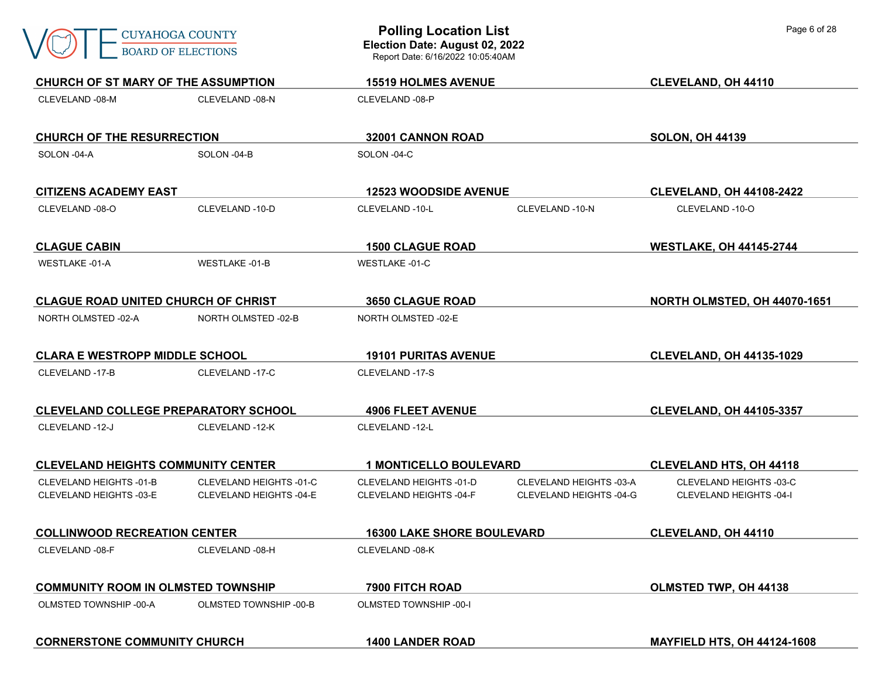| <b>CUYAHOGA COUNTY</b><br><b>BOARD OF ELECTIONS</b><br>CHURCH OF ST MARY OF THE ASSUMPTION |                         | <b>Polling Location List</b><br>Election Date: August 02, 2022<br>Report Date: 6/16/2022 10:05:40AM |                         | Page 6 of 28                       |  |
|--------------------------------------------------------------------------------------------|-------------------------|-----------------------------------------------------------------------------------------------------|-------------------------|------------------------------------|--|
|                                                                                            |                         | <b>15519 HOLMES AVENUE</b>                                                                          |                         | <b>CLEVELAND, OH 44110</b>         |  |
| CLEVELAND -08-M                                                                            | CLEVELAND -08-N         | CLEVELAND -08-P                                                                                     |                         |                                    |  |
| <b>CHURCH OF THE RESURRECTION</b>                                                          |                         | 32001 CANNON ROAD                                                                                   |                         | <b>SOLON, OH 44139</b>             |  |
| SOLON -04-A                                                                                | SOLON -04-B             | SOLON -04-C                                                                                         |                         |                                    |  |
| <b>CITIZENS ACADEMY EAST</b>                                                               |                         | <b>12523 WOODSIDE AVENUE</b>                                                                        |                         | <b>CLEVELAND, OH 44108-2422</b>    |  |
| CLEVELAND -08-O                                                                            | CLEVELAND -10-D         | CLEVELAND -10-L                                                                                     | CLEVELAND -10-N         | CLEVELAND -10-O                    |  |
| <b>CLAGUE CABIN</b>                                                                        |                         | <b>1500 CLAGUE ROAD</b>                                                                             |                         | <b>WESTLAKE, OH 44145-2744</b>     |  |
| <b>WESTLAKE -01-A</b>                                                                      | <b>WESTLAKE -01-B</b>   | <b>WESTLAKE -01-C</b>                                                                               |                         |                                    |  |
| <b>CLAGUE ROAD UNITED CHURCH OF CHRIST</b>                                                 |                         | <b>3650 CLAGUE ROAD</b>                                                                             |                         | NORTH OLMSTED, OH 44070-1651       |  |
| NORTH OLMSTED -02-A                                                                        | NORTH OLMSTED -02-B     | NORTH OLMSTED -02-E                                                                                 |                         |                                    |  |
| <b>CLARA E WESTROPP MIDDLE SCHOOL</b>                                                      |                         | <b>19101 PURITAS AVENUE</b>                                                                         |                         | <b>CLEVELAND, OH 44135-1029</b>    |  |
| CLEVELAND -17-B                                                                            | CLEVELAND -17-C         | CLEVELAND -17-S                                                                                     |                         |                                    |  |
| <b>CLEVELAND COLLEGE PREPARATORY SCHOOL</b>                                                |                         | <b>4906 FLEET AVENUE</b>                                                                            |                         | <b>CLEVELAND, OH 44105-3357</b>    |  |
| CLEVELAND -12-J                                                                            | CLEVELAND -12-K         | CLEVELAND -12-L                                                                                     |                         |                                    |  |
| <b>CLEVELAND HEIGHTS COMMUNITY CENTER</b>                                                  |                         | <b>1 MONTICELLO BOULEVARD</b>                                                                       |                         | <b>CLEVELAND HTS, OH 44118</b>     |  |
| CLEVELAND HEIGHTS -01-B                                                                    | CLEVELAND HEIGHTS -01-C | CLEVELAND HEIGHTS -01-D                                                                             | CLEVELAND HEIGHTS -03-A | CLEVELAND HEIGHTS -03-C            |  |
| CLEVELAND HEIGHTS -03-E                                                                    | CLEVELAND HEIGHTS -04-E | CLEVELAND HEIGHTS -04-F                                                                             | CLEVELAND HEIGHTS -04-G | <b>CLEVELAND HEIGHTS -04-I</b>     |  |
| <b>COLLINWOOD RECREATION CENTER</b>                                                        |                         | <b>16300 LAKE SHORE BOULEVARD</b>                                                                   |                         | CLEVELAND, OH 44110                |  |
| CLEVELAND -08-F                                                                            | CLEVELAND -08-H         | CLEVELAND -08-K                                                                                     |                         |                                    |  |
| <b>COMMUNITY ROOM IN OLMSTED TOWNSHIP</b>                                                  |                         | 7900 FITCH ROAD                                                                                     |                         | OLMSTED TWP, OH 44138              |  |
| OLMSTED TOWNSHIP -00-A                                                                     | OLMSTED TOWNSHIP -00-B  | <b>OLMSTED TOWNSHIP -00-I</b>                                                                       |                         |                                    |  |
| <b>CORNERSTONE COMMUNITY CHURCH</b>                                                        |                         | <b>1400 LANDER ROAD</b>                                                                             |                         | <b>MAYFIELD HTS, OH 44124-1608</b> |  |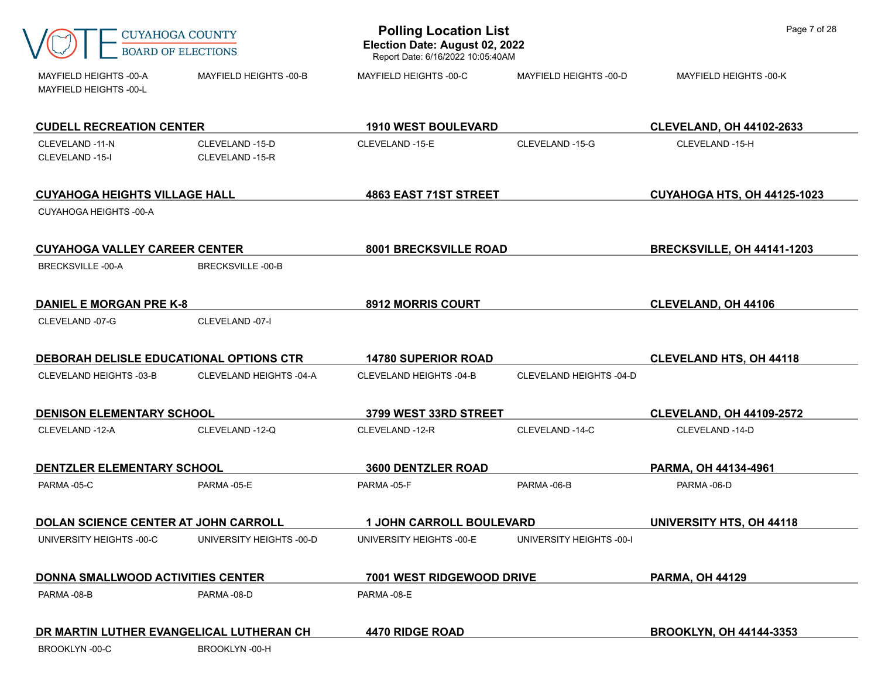|                                                  | <b>CUYAHOGA COUNTY</b><br><b>BOARD OF ELECTIONS</b> | <b>Polling Location List</b><br>Election Date: August 02, 2022<br>Report Date: 6/16/2022 10:05:40AM |                          | Page 7 of 28                       |
|--------------------------------------------------|-----------------------------------------------------|-----------------------------------------------------------------------------------------------------|--------------------------|------------------------------------|
| MAYFIELD HEIGHTS -00-A<br>MAYFIELD HEIGHTS -00-L | MAYFIELD HEIGHTS -00-B                              | MAYFIELD HEIGHTS -00-C                                                                              | MAYFIELD HEIGHTS -00-D   | MAYFIELD HEIGHTS -00-K             |
| <b>CUDELL RECREATION CENTER</b>                  |                                                     | <b>1910 WEST BOULEVARD</b>                                                                          |                          | <b>CLEVELAND, OH 44102-2633</b>    |
| CLEVELAND -11-N<br>CLEVELAND -15-I               | CLEVELAND -15-D<br>CLEVELAND -15-R                  | CLEVELAND-15-E                                                                                      | CLEVELAND -15-G          | CLEVELAND -15-H                    |
| <b>CUYAHOGA HEIGHTS VILLAGE HALL</b>             |                                                     | <b>4863 EAST 71ST STREET</b>                                                                        |                          | <b>CUYAHOGA HTS, OH 44125-1023</b> |
| CUYAHOGA HEIGHTS -00-A                           |                                                     |                                                                                                     |                          |                                    |
| <b>CUYAHOGA VALLEY CAREER CENTER</b>             |                                                     | 8001 BRECKSVILLE ROAD                                                                               |                          | <b>BRECKSVILLE, OH 44141-1203</b>  |
| BRECKSVILLE-00-A                                 | <b>BRECKSVILLE-00-B</b>                             |                                                                                                     |                          |                                    |
| <b>DANIEL E MORGAN PRE K-8</b>                   |                                                     | 8912 MORRIS COURT                                                                                   |                          | <b>CLEVELAND, OH 44106</b>         |
| CLEVELAND -07-G                                  | CLEVELAND -07-I                                     |                                                                                                     |                          |                                    |
| DEBORAH DELISLE EDUCATIONAL OPTIONS CTR          |                                                     | <b>14780 SUPERIOR ROAD</b>                                                                          |                          | <b>CLEVELAND HTS, OH 44118</b>     |
| CLEVELAND HEIGHTS -03-B                          | CLEVELAND HEIGHTS -04-A                             | CLEVELAND HEIGHTS -04-B                                                                             | CLEVELAND HEIGHTS -04-D  |                                    |
| <b>DENISON ELEMENTARY SCHOOL</b>                 |                                                     | 3799 WEST 33RD STREET                                                                               |                          | <b>CLEVELAND, OH 44109-2572</b>    |
| CLEVELAND -12-A                                  | CLEVELAND -12-Q                                     | CLEVELAND -12-R                                                                                     | CLEVELAND -14-C          | CLEVELAND -14-D                    |
| DENTZLER ELEMENTARY SCHOOL                       |                                                     | <b>3600 DENTZLER ROAD</b>                                                                           |                          | PARMA, OH 44134-4961               |
| PARMA-05-C                                       | PARMA-05-E                                          | PARMA-05-F                                                                                          | PARMA-06-B               | PARMA-06-D                         |
| <b>DOLAN SCIENCE CENTER AT JOHN CARROLL</b>      |                                                     | <b>1 JOHN CARROLL BOULEVARD</b>                                                                     |                          | UNIVERSITY HTS, OH 44118           |
| UNIVERSITY HEIGHTS -00-C                         | UNIVERSITY HEIGHTS -00-D                            | UNIVERSITY HEIGHTS -00-E                                                                            | UNIVERSITY HEIGHTS -00-I |                                    |
| <b>DONNA SMALLWOOD ACTIVITIES CENTER</b>         |                                                     | <b>7001 WEST RIDGEWOOD DRIVE</b>                                                                    |                          | <b>PARMA, OH 44129</b>             |
| PARMA-08-B                                       | PARMA-08-D                                          | PARMA-08-E                                                                                          |                          |                                    |
| DR MARTIN LUTHER EVANGELICAL LUTHERAN CH         |                                                     | 4470 RIDGE ROAD                                                                                     |                          | <b>BROOKLYN, OH 44144-3353</b>     |
| <b>BROOKLYN-00-C</b>                             | BROOKLYN-00-H                                       |                                                                                                     |                          |                                    |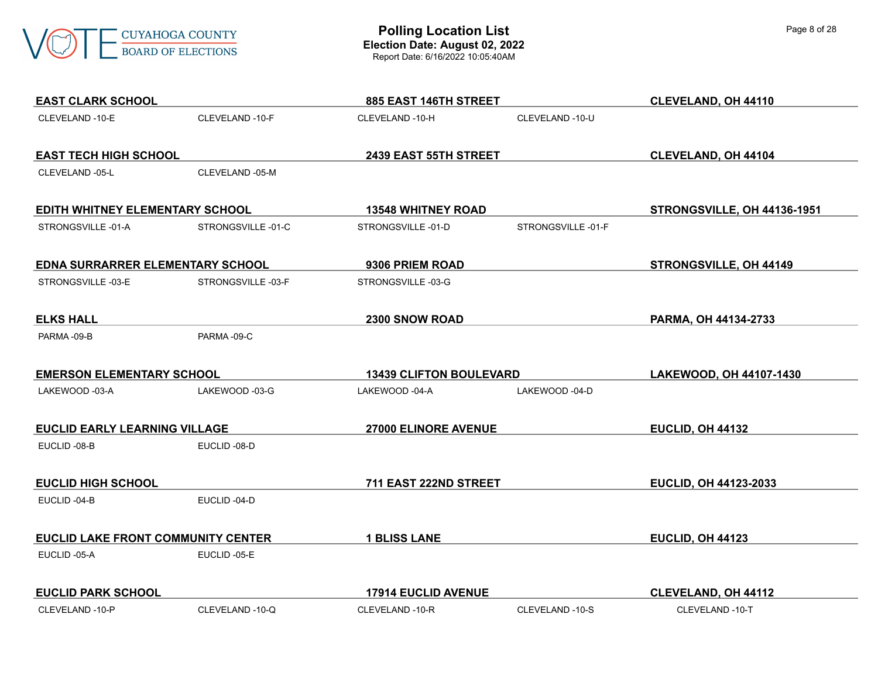

| <b>EAST CLARK SCHOOL</b>             |                   | 885 EAST 146TH STREET          |                   | <b>CLEVELAND, OH 44110</b>  |
|--------------------------------------|-------------------|--------------------------------|-------------------|-----------------------------|
| CLEVELAND-10-E                       | CLEVELAND -10-F   | CLEVELAND -10-H                | CLEVELAND -10-U   |                             |
| <b>EAST TECH HIGH SCHOOL</b>         |                   | 2439 EAST 55TH STREET          |                   | <b>CLEVELAND, OH 44104</b>  |
| CLEVELAND -05-L                      | CLEVELAND -05-M   |                                |                   |                             |
| EDITH WHITNEY ELEMENTARY SCHOOL      |                   | <b>13548 WHITNEY ROAD</b>      |                   | STRONGSVILLE, OH 44136-1951 |
| STRONGSVILLE-01-A                    | STRONGSVILLE-01-C | STRONGSVILLE-01-D              | STRONGSVILLE-01-F |                             |
| EDNA SURRARRER ELEMENTARY SCHOOL     |                   | 9306 PRIEM ROAD                |                   | STRONGSVILLE, OH 44149      |
| STRONGSVILLE-03-E                    | STRONGSVILLE-03-F | STRONGSVILLE-03-G              |                   |                             |
| <b>ELKS HALL</b>                     |                   | 2300 SNOW ROAD                 |                   | PARMA, OH 44134-2733        |
| PARMA-09-B                           | PARMA-09-C        |                                |                   |                             |
| <b>EMERSON ELEMENTARY SCHOOL</b>     |                   | <b>13439 CLIFTON BOULEVARD</b> |                   | LAKEWOOD, OH 44107-1430     |
| LAKEWOOD -03-A                       | LAKEWOOD -03-G    | LAKEWOOD -04-A                 | LAKEWOOD -04-D    |                             |
| <b>EUCLID EARLY LEARNING VILLAGE</b> |                   | 27000 ELINORE AVENUE           |                   | EUCLID, OH 44132            |
| EUCLID-08-B                          | EUCLID-08-D       |                                |                   |                             |
| <b>EUCLID HIGH SCHOOL</b>            |                   | 711 EAST 222ND STREET          |                   | EUCLID, OH 44123-2033       |
| EUCLID-04-B                          | EUCLID-04-D       |                                |                   |                             |
| EUCLID LAKE FRONT COMMUNITY CENTER   |                   | <b>1 BLISS LANE</b>            |                   | EUCLID, OH 44123            |
| EUCLID-05-A                          | EUCLID-05-E       |                                |                   |                             |
| <b>EUCLID PARK SCHOOL</b>            |                   | <b>17914 EUCLID AVENUE</b>     |                   | <b>CLEVELAND, OH 44112</b>  |
| CLEVELAND-10-P                       | CLEVELAND -10-Q   | CLEVELAND -10-R                | CLEVELAND -10-S   | CLEVELAND -10-T             |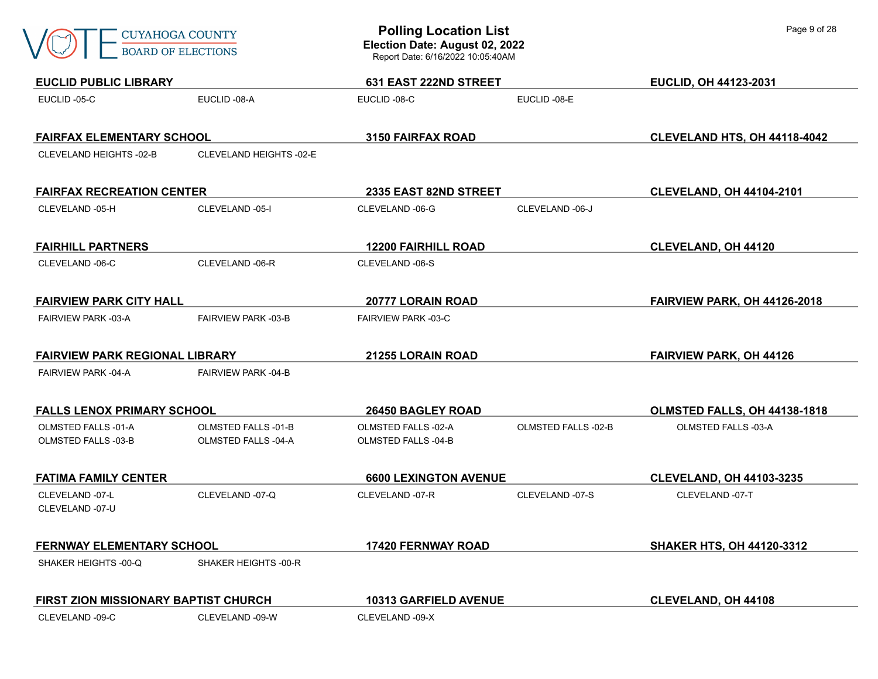|  | CUYAHOGA COUNTY  |
|--|------------------|
|  | ROARD OF FLECTIO |

| <b>EUCLID PUBLIC LIBRARY</b>                             |                                                          | 631 EAST 222ND STREET                             |                            | EUCLID, OH 44123-2031               |
|----------------------------------------------------------|----------------------------------------------------------|---------------------------------------------------|----------------------------|-------------------------------------|
| EUCLID-05-C                                              | EUCLID-08-A                                              | EUCLID-08-C                                       | EUCLID-08-E                |                                     |
| <b>FAIRFAX ELEMENTARY SCHOOL</b>                         |                                                          | 3150 FAIRFAX ROAD                                 |                            | CLEVELAND HTS, OH 44118-4042        |
| CLEVELAND HEIGHTS -02-B                                  | CLEVELAND HEIGHTS -02-E                                  |                                                   |                            |                                     |
| <b>FAIRFAX RECREATION CENTER</b>                         |                                                          | 2335 EAST 82ND STREET                             |                            | <b>CLEVELAND, OH 44104-2101</b>     |
| CLEVELAND -05-H                                          | CLEVELAND -05-I                                          | CLEVELAND -06-G                                   | CLEVELAND -06-J            |                                     |
| <b>FAIRHILL PARTNERS</b>                                 |                                                          | <b>12200 FAIRHILL ROAD</b>                        |                            | <b>CLEVELAND, OH 44120</b>          |
| CLEVELAND -06-C                                          | CLEVELAND -06-R                                          | CLEVELAND -06-S                                   |                            |                                     |
| <b>FAIRVIEW PARK CITY HALL</b>                           |                                                          | 20777 LORAIN ROAD                                 |                            | <b>FAIRVIEW PARK, OH 44126-2018</b> |
| <b>FAIRVIEW PARK -03-A</b>                               | <b>FAIRVIEW PARK -03-B</b>                               | <b>FAIRVIEW PARK -03-C</b>                        |                            |                                     |
| <b>FAIRVIEW PARK REGIONAL LIBRARY</b>                    |                                                          | 21255 LORAIN ROAD                                 |                            | <b>FAIRVIEW PARK, OH 44126</b>      |
| <b>FAIRVIEW PARK -04-A</b>                               | <b>FAIRVIEW PARK -04-B</b>                               |                                                   |                            |                                     |
| <b>FALLS LENOX PRIMARY SCHOOL</b>                        |                                                          | 26450 BAGLEY ROAD                                 |                            | OLMSTED FALLS, OH 44138-1818        |
| <b>OLMSTED FALLS -01-A</b><br><b>OLMSTED FALLS -03-B</b> | <b>OLMSTED FALLS -01-B</b><br><b>OLMSTED FALLS -04-A</b> | <b>OLMSTED FALLS -02-A</b><br>OLMSTED FALLS -04-B | <b>OLMSTED FALLS -02-B</b> | <b>OLMSTED FALLS -03-A</b>          |
| <b>FATIMA FAMILY CENTER</b>                              |                                                          | <b>6600 LEXINGTON AVENUE</b>                      |                            | <b>CLEVELAND, OH 44103-3235</b>     |
| CLEVELAND -07-L<br>CLEVELAND -07-U                       | CLEVELAND -07-Q                                          | CLEVELAND -07-R                                   | CLEVELAND -07-S            | CLEVELAND -07-T                     |
| <b>FERNWAY ELEMENTARY SCHOOL</b>                         |                                                          | 17420 FERNWAY ROAD                                |                            | <b>SHAKER HTS, OH 44120-3312</b>    |
| SHAKER HEIGHTS -00-Q                                     | SHAKER HEIGHTS -00-R                                     |                                                   |                            |                                     |
| FIRST ZION MISSIONARY BAPTIST CHURCH                     |                                                          | 10313 GARFIELD AVENUE                             |                            | <b>CLEVELAND, OH 44108</b>          |
| CLEVELAND -09-C                                          | CLEVELAND -09-W                                          | CLEVELAND -09-X                                   |                            |                                     |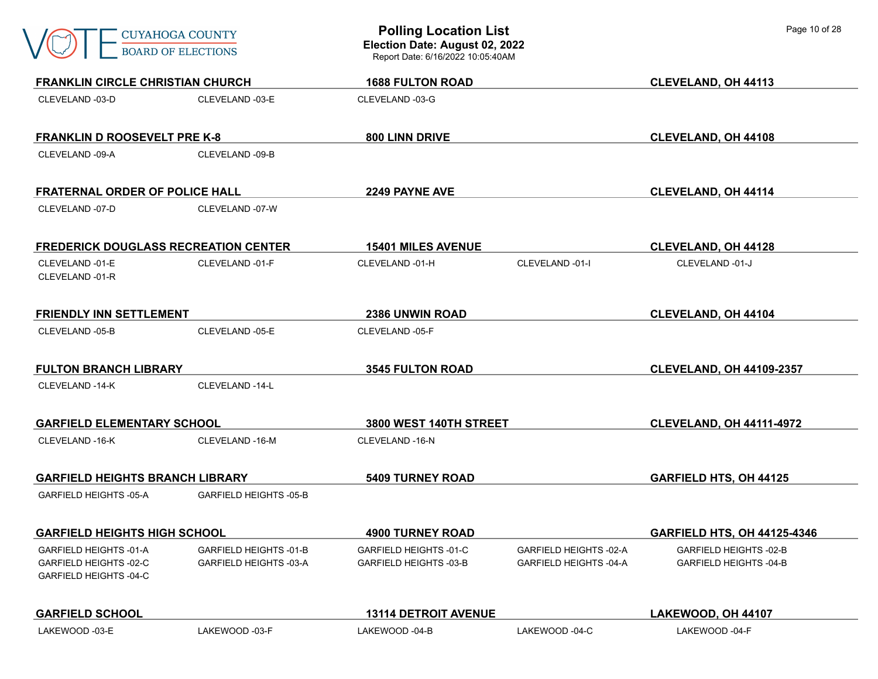|                                                                            | <b>CUYAHOGA COUNTY</b><br><b>BOARD OF ELECTIONS</b>     | <b>Polling Location List</b><br>Election Date: August 02, 2022<br>Report Date: 6/16/2022 10:05:40AM |                                                  | Page 10 of 28                                                  |
|----------------------------------------------------------------------------|---------------------------------------------------------|-----------------------------------------------------------------------------------------------------|--------------------------------------------------|----------------------------------------------------------------|
| <b>FRANKLIN CIRCLE CHRISTIAN CHURCH</b>                                    |                                                         | <b>1688 FULTON ROAD</b>                                                                             |                                                  | <b>CLEVELAND, OH 44113</b>                                     |
| CLEVELAND -03-D                                                            | CLEVELAND -03-E                                         | CLEVELAND -03-G                                                                                     |                                                  |                                                                |
| <b>FRANKLIN D ROOSEVELT PRE K-8</b>                                        |                                                         | <b>800 LINN DRIVE</b>                                                                               |                                                  | <b>CLEVELAND, OH 44108</b>                                     |
| CLEVELAND -09-A                                                            | CLEVELAND -09-B                                         |                                                                                                     |                                                  |                                                                |
| <b>FRATERNAL ORDER OF POLICE HALL</b>                                      |                                                         | 2249 PAYNE AVE                                                                                      |                                                  | <b>CLEVELAND, OH 44114</b>                                     |
| CLEVELAND -07-D                                                            | CLEVELAND -07-W                                         |                                                                                                     |                                                  |                                                                |
| <b>FREDERICK DOUGLASS RECREATION CENTER</b>                                |                                                         | <b>15401 MILES AVENUE</b>                                                                           |                                                  | <b>CLEVELAND, OH 44128</b>                                     |
| CLEVELAND -01-E<br>CLEVELAND -01-R                                         | CLEVELAND -01-F                                         | CLEVELAND -01-H                                                                                     | CLEVELAND -01-I                                  | CLEVELAND -01-J                                                |
| <b>FRIENDLY INN SETTLEMENT</b>                                             |                                                         | 2386 UNWIN ROAD                                                                                     |                                                  | CLEVELAND, OH 44104                                            |
| CLEVELAND -05-B                                                            | CLEVELAND -05-E                                         | CLEVELAND -05-F                                                                                     |                                                  |                                                                |
| <b>FULTON BRANCH LIBRARY</b>                                               |                                                         | <b>3545 FULTON ROAD</b>                                                                             |                                                  | <b>CLEVELAND, OH 44109-2357</b>                                |
| CLEVELAND -14-K                                                            | CLEVELAND -14-L                                         |                                                                                                     |                                                  |                                                                |
| <b>GARFIELD ELEMENTARY SCHOOL</b>                                          |                                                         | 3800 WEST 140TH STREET                                                                              |                                                  | <b>CLEVELAND, OH 44111-4972</b>                                |
| CLEVELAND -16-K                                                            | CLEVELAND -16-M                                         | CLEVELAND -16-N                                                                                     |                                                  |                                                                |
| <b>GARFIELD HEIGHTS BRANCH LIBRARY</b>                                     |                                                         | <b>5409 TURNEY ROAD</b>                                                                             |                                                  | <b>GARFIELD HTS, OH 44125</b>                                  |
| <b>GARFIELD HEIGHTS -05-A</b>                                              | <b>GARFIELD HEIGHTS -05-B</b>                           |                                                                                                     |                                                  |                                                                |
| <b>GARFIELD HEIGHTS HIGH SCHOOL</b>                                        |                                                         | <b>4900 TURNEY ROAD</b>                                                                             |                                                  | <b>GARFIELD HTS, OH 44125-4346</b>                             |
| GARFIELD HEIGHTS -01-A<br>GARFIELD HEIGHTS -02-C<br>GARFIELD HEIGHTS -04-C | <b>GARFIELD HEIGHTS -01-B</b><br>GARFIELD HEIGHTS -03-A | GARFIELD HEIGHTS -01-C<br><b>GARFIELD HEIGHTS -03-B</b>                                             | GARFIELD HEIGHTS -02-A<br>GARFIELD HEIGHTS -04-A | <b>GARFIELD HEIGHTS -02-B</b><br><b>GARFIELD HEIGHTS -04-B</b> |
| <b>GARFIELD SCHOOL</b>                                                     |                                                         | <b>13114 DETROIT AVENUE</b>                                                                         |                                                  | LAKEWOOD, OH 44107                                             |
| LAKEWOOD -03-E                                                             | LAKEWOOD -03-F                                          | LAKEWOOD -04-B                                                                                      | LAKEWOOD -04-C                                   | LAKEWOOD -04-F                                                 |

٦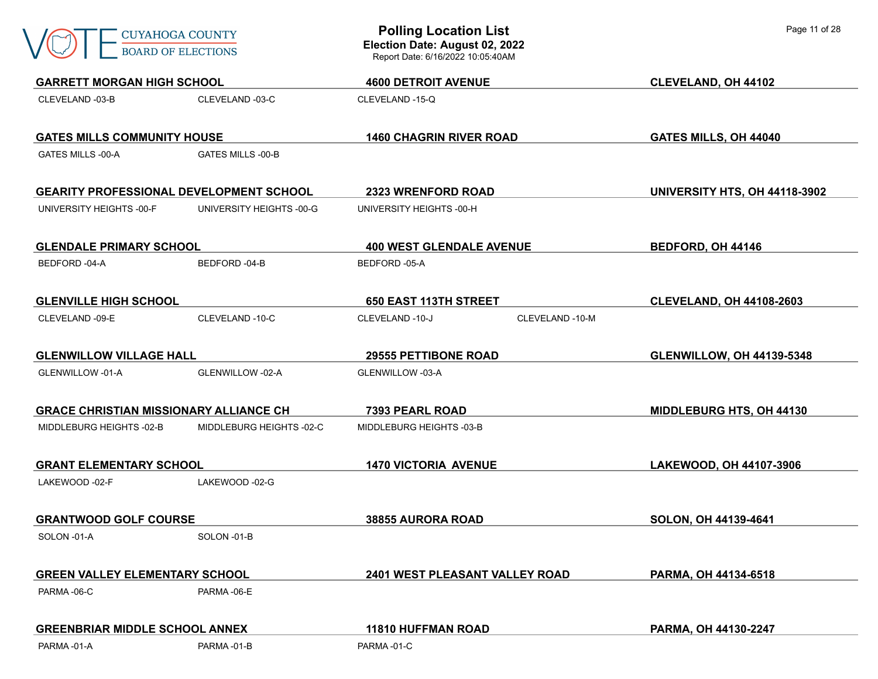|                                                | <b>CUYAHOGA COUNTY</b><br><b>BOARD OF ELECTIONS</b>             | <b>Polling Location List</b><br>Election Date: August 02, 2022<br>Report Date: 6/16/2022 10:05:40AM | Page 11 of 28                    |
|------------------------------------------------|-----------------------------------------------------------------|-----------------------------------------------------------------------------------------------------|----------------------------------|
|                                                | <b>GARRETT MORGAN HIGH SCHOOL</b><br><b>4600 DETROIT AVENUE</b> |                                                                                                     | CLEVELAND, OH 44102              |
| CLEVELAND -03-B                                | CLEVELAND -03-C                                                 | CLEVELAND -15-Q                                                                                     |                                  |
| <b>GATES MILLS COMMUNITY HOUSE</b>             |                                                                 | <b>1460 CHAGRIN RIVER ROAD</b>                                                                      | GATES MILLS, OH 44040            |
| GATES MILLS -00-A                              | <b>GATES MILLS -00-B</b>                                        |                                                                                                     |                                  |
| <b>GEARITY PROFESSIONAL DEVELOPMENT SCHOOL</b> |                                                                 | <b>2323 WRENFORD ROAD</b>                                                                           | UNIVERSITY HTS, OH 44118-3902    |
| UNIVERSITY HEIGHTS -00-F                       | UNIVERSITY HEIGHTS -00-G                                        | UNIVERSITY HEIGHTS -00-H                                                                            |                                  |
| <b>GLENDALE PRIMARY SCHOOL</b>                 |                                                                 | <b>400 WEST GLENDALE AVENUE</b>                                                                     | BEDFORD, OH 44146                |
| BEDFORD -04-A                                  | BEDFORD-04-B                                                    | BEDFORD -05-A                                                                                       |                                  |
| <b>GLENVILLE HIGH SCHOOL</b>                   |                                                                 | <b>650 EAST 113TH STREET</b>                                                                        | <b>CLEVELAND, OH 44108-2603</b>  |
| CLEVELAND -09-E                                | CLEVELAND-10-C                                                  | CLEVELAND -10-J<br>CLEVELAND -10-M                                                                  |                                  |
| <b>GLENWILLOW VILLAGE HALL</b>                 |                                                                 | <b>29555 PETTIBONE ROAD</b>                                                                         | <b>GLENWILLOW, OH 44139-5348</b> |
| GLENWILLOW -01-A                               | GLENWILLOW -02-A                                                | GLENWILLOW -03-A                                                                                    |                                  |
| <b>GRACE CHRISTIAN MISSIONARY ALLIANCE CH</b>  |                                                                 | 7393 PEARL ROAD                                                                                     | <b>MIDDLEBURG HTS, OH 44130</b>  |
| MIDDLEBURG HEIGHTS -02-B                       | MIDDLEBURG HEIGHTS -02-C                                        | MIDDLEBURG HEIGHTS -03-B                                                                            |                                  |
| <b>GRANT ELEMENTARY SCHOOL</b>                 |                                                                 | <b>1470 VICTORIA AVENUE</b>                                                                         | LAKEWOOD, OH 44107-3906          |
| LAKEWOOD -02-F                                 | LAKEWOOD -02-G                                                  |                                                                                                     |                                  |
| <b>GRANTWOOD GOLF COURSE</b>                   |                                                                 | 38855 AURORA ROAD                                                                                   | SOLON, OH 44139-4641             |
| SOLON -01-A                                    | SOLON-01-B                                                      |                                                                                                     |                                  |
| <b>GREEN VALLEY ELEMENTARY SCHOOL</b>          |                                                                 | 2401 WEST PLEASANT VALLEY ROAD                                                                      | PARMA, OH 44134-6518             |
| PARMA-06-C                                     | PARMA-06-E                                                      |                                                                                                     |                                  |
| <b>GREENBRIAR MIDDLE SCHOOL ANNEX</b>          |                                                                 | <b>11810 HUFFMAN ROAD</b>                                                                           | PARMA, OH 44130-2247             |
| PARMA-01-A                                     | PARMA-01-B                                                      | PARMA-01-C                                                                                          |                                  |

٦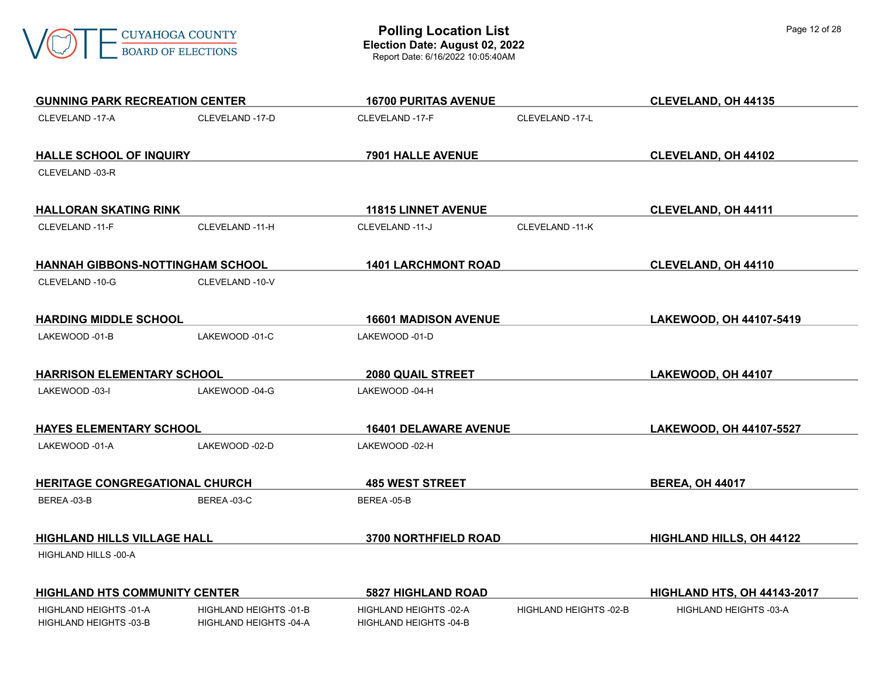

| <b>GUNNING PARK RECREATION CENTER</b>            |                                                         | <b>16700 PURITAS AVENUE</b>                      |                        | <b>CLEVELAND, OH 44135</b>         |
|--------------------------------------------------|---------------------------------------------------------|--------------------------------------------------|------------------------|------------------------------------|
| CLEVELAND -17-A                                  | CLEVELAND -17-D                                         | CLEVELAND -17-F                                  | CLEVELAND -17-L        |                                    |
| <b>HALLE SCHOOL OF INQUIRY</b>                   |                                                         | 7901 HALLE AVENUE                                |                        | <b>CLEVELAND, OH 44102</b>         |
| CLEVELAND -03-R                                  |                                                         |                                                  |                        |                                    |
| <b>HALLORAN SKATING RINK</b>                     |                                                         | <b>11815 LINNET AVENUE</b>                       |                        | <b>CLEVELAND, OH 44111</b>         |
| CLEVELAND -11-F                                  | CLEVELAND -11-H                                         | CLEVELAND -11-J                                  | CLEVELAND -11-K        |                                    |
| HANNAH GIBBONS-NOTTINGHAM SCHOOL                 |                                                         | <b>1401 LARCHMONT ROAD</b>                       |                        | CLEVELAND, OH 44110                |
| CLEVELAND -10-G                                  | CLEVELAND -10-V                                         |                                                  |                        |                                    |
| <b>HARDING MIDDLE SCHOOL</b>                     |                                                         | <b>16601 MADISON AVENUE</b>                      |                        | LAKEWOOD, OH 44107-5419            |
| LAKEWOOD -01-B                                   | LAKEWOOD -01-C                                          | LAKEWOOD -01-D                                   |                        |                                    |
| <b>HARRISON ELEMENTARY SCHOOL</b>                |                                                         | <b>2080 QUAIL STREET</b>                         |                        | LAKEWOOD, OH 44107                 |
| LAKEWOOD -03-I                                   | LAKEWOOD -04-G                                          | LAKEWOOD -04-H                                   |                        |                                    |
| <b>HAYES ELEMENTARY SCHOOL</b>                   |                                                         | <b>16401 DELAWARE AVENUE</b>                     |                        | LAKEWOOD, OH 44107-5527            |
| LAKEWOOD -01-A                                   | LAKEWOOD -02-D                                          | LAKEWOOD -02-H                                   |                        |                                    |
| HERITAGE CONGREGATIONAL CHURCH                   |                                                         | <b>485 WEST STREET</b>                           |                        | <b>BEREA, OH 44017</b>             |
| BEREA-03-B                                       | BEREA-03-C                                              | BEREA-05-B                                       |                        |                                    |
| <b>HIGHLAND HILLS VILLAGE HALL</b>               |                                                         | 3700 NORTHFIELD ROAD                             |                        | <b>HIGHLAND HILLS, OH 44122</b>    |
| HIGHLAND HILLS -00-A                             |                                                         |                                                  |                        |                                    |
| <b>HIGHLAND HTS COMMUNITY CENTER</b>             |                                                         | <b>5827 HIGHLAND ROAD</b>                        |                        | <b>HIGHLAND HTS, OH 44143-2017</b> |
| HIGHLAND HEIGHTS -01-A<br>HIGHLAND HEIGHTS -03-B | <b>HIGHLAND HEIGHTS -01-B</b><br>HIGHLAND HEIGHTS -04-A | HIGHLAND HEIGHTS -02-A<br>HIGHLAND HEIGHTS -04-B | HIGHLAND HEIGHTS -02-B | <b>HIGHLAND HEIGHTS -03-A</b>      |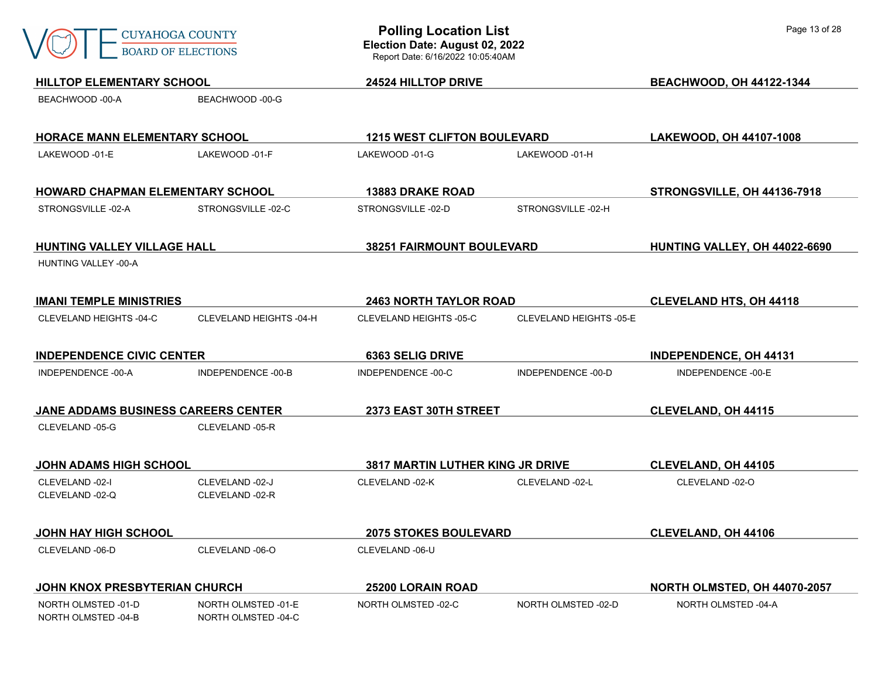

NORTH OLMSTED -04-B NORTH OLMSTED -04-C

**HILLTOP ELEMENTARY SCHOOL 24524 HILLTOP DRIVE BEACHWOOD, OH 44122-1344** BEACHWOOD -00-A BEACHWOOD -00-G **HORACE MANN ELEMENTARY SCHOOL 1215 WEST CLIFTON BOULEVARD LAKEWOOD, OH 44107-1008** LAKEWOOD -01-E LAKEWOOD -01-F LAKEWOOD -01-G LAKEWOOD -01-H **HOWARD CHAPMAN ELEMENTARY SCHOOL 13883 DRAKE ROAD STRONGSVILLE, OH 44136-7918** STRONGSVILLE -02-A STRONGSVILLE -02-C STRONGSVILLE -02-D STRONGSVILLE -02-H **HUNTING VALLEY VILLAGE HALL 38251 FAIRMOUNT BOULEVARD HUNTING VALLEY, OH 44022-6690** HUNTING VALLEY -00-A **IMANI TEMPLE MINISTRIES 2463 NORTH TAYLOR ROAD CLEVELAND HTS, OH 44118** CLEVELAND HEIGHTS -04-C CLEVELAND HEIGHTS -04-H CLEVELAND HEIGHTS -05-C CLEVELAND HEIGHTS -05-E **INDEPENDENCE CIVIC CENTER 6363 SELIG DRIVE INDEPENDENCE, OH 44131** INDEPENDENCE -00-A INDEPENDENCE -00-B INDEPENDENCE -00-C INDEPENDENCE -00-D INDEPENDENCE -00-E **JANE ADDAMS BUSINESS CAREERS CENTER 2373 EAST 30TH STREET CLEVELAND, OH 44115** CLEVELAND -05-G CLEVELAND -05-R **JOHN ADAMS HIGH SCHOOL 3817 MARTIN LUTHER KING JR DRIVE CLEVELAND, OH 44105** CLEVELAND -02-I CLEVELAND -02-J CLEVELAND -02-K CLEVELAND -02-L CLEVELAND -02-O CLEVELAND -02-Q CLEVELAND -02-R **JOHN HAY HIGH SCHOOL 2075 STOKES BOULEVARD CLEVELAND, OH 44106** CLEVELAND -06-D CLEVELAND -06-O CLEVELAND -06-U **JOHN KNOX PRESBYTERIAN CHURCH 25200 LORAIN ROAD NORTH OLMSTED, OH 44070-2057** NORTH OLMSTED -01-D NORTH OLMSTED -01-E NORTH OLMSTED -02-C NORTH OLMSTED -02-D NORTH OLMSTED -04-A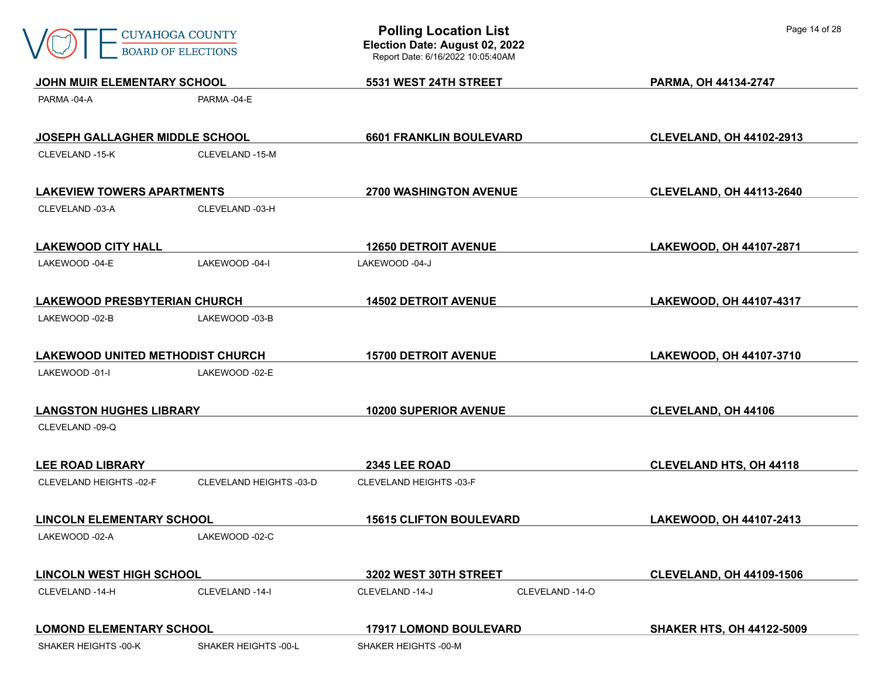| <b>CUYAHOGA COUNTY</b><br><b>BOARD OF ELECTIONS</b> |                         | <b>Polling Location List</b><br>Election Date: August 02, 2022<br>Report Date: 6/16/2022 10:05:40AM |                 | Page 14 of 28                    |  |
|-----------------------------------------------------|-------------------------|-----------------------------------------------------------------------------------------------------|-----------------|----------------------------------|--|
| JOHN MUIR ELEMENTARY SCHOOL                         |                         | 5531 WEST 24TH STREET                                                                               |                 | PARMA, OH 44134-2747             |  |
| PARMA-04-A                                          | PARMA-04-E              |                                                                                                     |                 |                                  |  |
| JOSEPH GALLAGHER MIDDLE SCHOOL                      |                         | <b>6601 FRANKLIN BOULEVARD</b>                                                                      |                 | <b>CLEVELAND, OH 44102-2913</b>  |  |
| CLEVELAND -15-K                                     | CLEVELAND -15-M         |                                                                                                     |                 |                                  |  |
| <b>LAKEVIEW TOWERS APARTMENTS</b>                   |                         | <b>2700 WASHINGTON AVENUE</b>                                                                       |                 | <b>CLEVELAND, OH 44113-2640</b>  |  |
| CLEVELAND -03-A                                     | CLEVELAND -03-H         |                                                                                                     |                 |                                  |  |
| <b>LAKEWOOD CITY HALL</b>                           |                         | <b>12650 DETROIT AVENUE</b>                                                                         |                 | LAKEWOOD, OH 44107-2871          |  |
| LAKEWOOD -04-E                                      | LAKEWOOD -04-I          | LAKEWOOD -04-J                                                                                      |                 |                                  |  |
| <b>LAKEWOOD PRESBYTERIAN CHURCH</b>                 |                         | <b>14502 DETROIT AVENUE</b>                                                                         |                 | LAKEWOOD, OH 44107-4317          |  |
| LAKEWOOD -02-B                                      | LAKEWOOD -03-B          |                                                                                                     |                 |                                  |  |
| <b>LAKEWOOD UNITED METHODIST CHURCH</b>             |                         | <b>15700 DETROIT AVENUE</b>                                                                         |                 | LAKEWOOD, OH 44107-3710          |  |
| LAKEWOOD -01-I                                      | LAKEWOOD -02-E          |                                                                                                     |                 |                                  |  |
| <b>LANGSTON HUGHES LIBRARY</b>                      |                         | <b>10200 SUPERIOR AVENUE</b>                                                                        |                 | <b>CLEVELAND, OH 44106</b>       |  |
| CLEVELAND -09-Q                                     |                         |                                                                                                     |                 |                                  |  |
| <b>LEE ROAD LIBRARY</b>                             |                         | 2345 LEE ROAD                                                                                       |                 | <b>CLEVELAND HTS, OH 44118</b>   |  |
| CLEVELAND HEIGHTS -02-F                             | CLEVELAND HEIGHTS -03-D | CLEVELAND HEIGHTS -03-F                                                                             |                 |                                  |  |
| <b>LINCOLN ELEMENTARY SCHOOL</b>                    |                         | <b>15615 CLIFTON BOULEVARD</b>                                                                      |                 | LAKEWOOD, OH 44107-2413          |  |
| LAKEWOOD -02-A                                      | LAKEWOOD -02-C          |                                                                                                     |                 |                                  |  |
| <b>LINCOLN WEST HIGH SCHOOL</b>                     |                         | 3202 WEST 30TH STREET                                                                               |                 | <b>CLEVELAND, OH 44109-1506</b>  |  |
| CLEVELAND -14-H                                     | CLEVELAND -14-I         | CLEVELAND -14-J                                                                                     | CLEVELAND -14-O |                                  |  |
| <b>LOMOND ELEMENTARY SCHOOL</b>                     |                         | <b>17917 LOMOND BOULEVARD</b>                                                                       |                 | <b>SHAKER HTS, OH 44122-5009</b> |  |
| SHAKER HEIGHTS -00-K                                | SHAKER HEIGHTS -00-L    | SHAKER HEIGHTS -00-M                                                                                |                 |                                  |  |

٦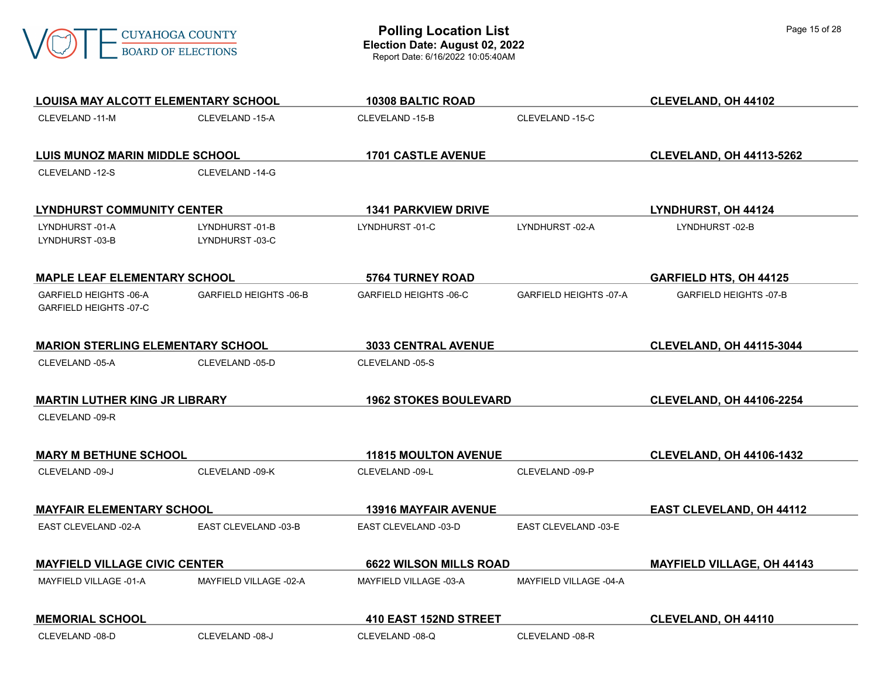

| <b>LOUISA MAY ALCOTT ELEMENTARY SCHOOL</b>       |                                  | 10308 BALTIC ROAD             |                               | <b>CLEVELAND, OH 44102</b>        |
|--------------------------------------------------|----------------------------------|-------------------------------|-------------------------------|-----------------------------------|
| CLEVELAND -11-M                                  | CLEVELAND -15-A                  | CLEVELAND -15-B               | CLEVELAND -15-C               |                                   |
| <b>LUIS MUNOZ MARIN MIDDLE SCHOOL</b>            |                                  | <b>1701 CASTLE AVENUE</b>     |                               | <b>CLEVELAND, OH 44113-5262</b>   |
| CLEVELAND -12-S                                  | CLEVELAND -14-G                  |                               |                               |                                   |
| <b>LYNDHURST COMMUNITY CENTER</b>                |                                  | <b>1341 PARKVIEW DRIVE</b>    |                               | LYNDHURST, OH 44124               |
| LYNDHURST-01-A<br>LYNDHURST-03-B                 | LYNDHURST-01-B<br>LYNDHURST-03-C | LYNDHURST-01-C                | LYNDHURST-02-A                | LYNDHURST-02-B                    |
| <b>MAPLE LEAF ELEMENTARY SCHOOL</b>              |                                  | <b>5764 TURNEY ROAD</b>       |                               | <b>GARFIELD HTS, OH 44125</b>     |
| GARFIELD HEIGHTS -06-A<br>GARFIELD HEIGHTS -07-C | <b>GARFIELD HEIGHTS -06-B</b>    | GARFIELD HEIGHTS -06-C        | <b>GARFIELD HEIGHTS -07-A</b> | <b>GARFIELD HEIGHTS -07-B</b>     |
| <b>MARION STERLING ELEMENTARY SCHOOL</b>         |                                  | <b>3033 CENTRAL AVENUE</b>    |                               | <b>CLEVELAND, OH 44115-3044</b>   |
| CLEVELAND -05-A                                  | CLEVELAND -05-D                  | CLEVELAND -05-S               |                               |                                   |
| <b>MARTIN LUTHER KING JR LIBRARY</b>             |                                  | <b>1962 STOKES BOULEVARD</b>  |                               | <b>CLEVELAND, OH 44106-2254</b>   |
| CLEVELAND -09-R                                  |                                  |                               |                               |                                   |
| <b>MARY M BETHUNE SCHOOL</b>                     |                                  | <b>11815 MOULTON AVENUE</b>   |                               | <b>CLEVELAND, OH 44106-1432</b>   |
| CLEVELAND -09-J                                  | CLEVELAND -09-K                  | CLEVELAND -09-L               | CLEVELAND -09-P               |                                   |
| <b>MAYFAIR ELEMENTARY SCHOOL</b>                 |                                  | <b>13916 MAYFAIR AVENUE</b>   |                               | <b>EAST CLEVELAND, OH 44112</b>   |
| EAST CLEVELAND -02-A                             | EAST CLEVELAND -03-B             | EAST CLEVELAND -03-D          | EAST CLEVELAND -03-E          |                                   |
| <b>MAYFIELD VILLAGE CIVIC CENTER</b>             |                                  | <b>6622 WILSON MILLS ROAD</b> |                               | <b>MAYFIELD VILLAGE, OH 44143</b> |
| MAYFIELD VILLAGE -01-A                           | MAYFIELD VILLAGE -02-A           | MAYFIELD VILLAGE -03-A        | MAYFIELD VILLAGE -04-A        |                                   |
| <b>MEMORIAL SCHOOL</b>                           |                                  | 410 EAST 152ND STREET         |                               | CLEVELAND, OH 44110               |
| CLEVELAND -08-D                                  |                                  |                               |                               |                                   |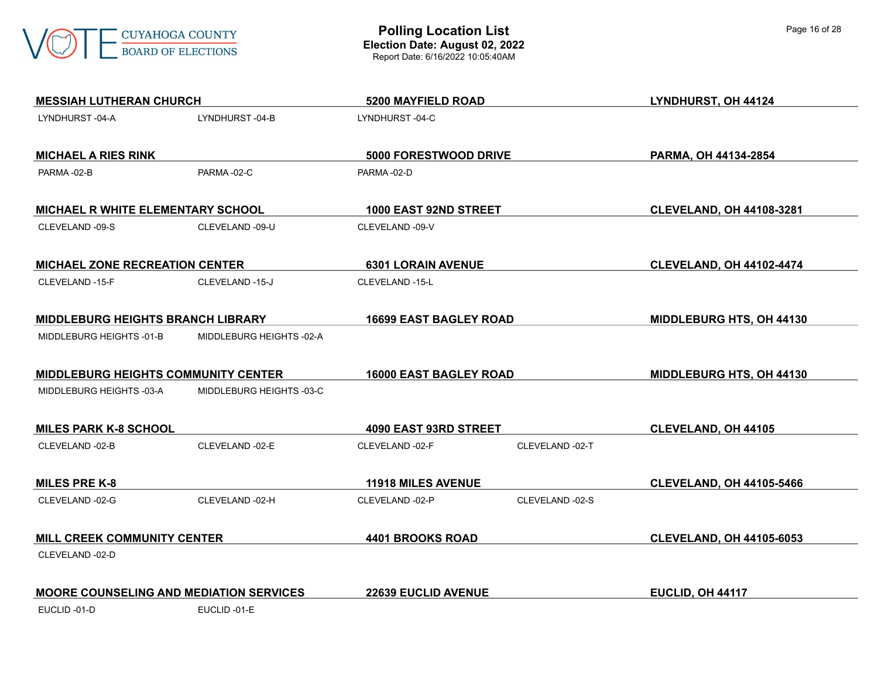

| <b>MESSIAH LUTHERAN CHURCH</b>                 |                          | 5200 MAYFIELD ROAD            |                 | LYNDHURST, OH 44124             |
|------------------------------------------------|--------------------------|-------------------------------|-----------------|---------------------------------|
| LYNDHURST-04-A                                 | LYNDHURST-04-B           | LYNDHURST-04-C                |                 |                                 |
| <b>MICHAEL A RIES RINK</b>                     |                          | 5000 FORESTWOOD DRIVE         |                 | PARMA, OH 44134-2854            |
| PARMA-02-B                                     | PARMA-02-C               | PARMA-02-D                    |                 |                                 |
|                                                |                          |                               |                 |                                 |
| <b>MICHAEL R WHITE ELEMENTARY SCHOOL</b>       |                          | 1000 EAST 92ND STREET         |                 | <b>CLEVELAND, OH 44108-3281</b> |
| CLEVELAND -09-S                                | CLEVELAND -09-U          | CLEVELAND -09-V               |                 |                                 |
| <b>MICHAEL ZONE RECREATION CENTER</b>          |                          | <b>6301 LORAIN AVENUE</b>     |                 | <b>CLEVELAND, OH 44102-4474</b> |
| CLEVELAND -15-F                                | CLEVELAND -15-J          | CLEVELAND -15-L               |                 |                                 |
| <b>MIDDLEBURG HEIGHTS BRANCH LIBRARY</b>       |                          | <b>16699 EAST BAGLEY ROAD</b> |                 | MIDDLEBURG HTS, OH 44130        |
| MIDDLEBURG HEIGHTS -01-B                       | MIDDLEBURG HEIGHTS -02-A |                               |                 |                                 |
| MIDDLEBURG HEIGHTS COMMUNITY CENTER            |                          | <b>16000 EAST BAGLEY ROAD</b> |                 | <b>MIDDLEBURG HTS, OH 44130</b> |
| MIDDLEBURG HEIGHTS -03-A                       | MIDDLEBURG HEIGHTS -03-C |                               |                 |                                 |
| <b>MILES PARK K-8 SCHOOL</b>                   |                          | 4090 EAST 93RD STREET         |                 | <b>CLEVELAND, OH 44105</b>      |
| CLEVELAND -02-B                                | CLEVELAND -02-E          | CLEVELAND -02-F               | CLEVELAND -02-T |                                 |
| <b>MILES PRE K-8</b>                           |                          | <b>11918 MILES AVENUE</b>     |                 | <b>CLEVELAND, OH 44105-5466</b> |
| CLEVELAND -02-G                                | CLEVELAND -02-H          | CLEVELAND -02-P               | CLEVELAND -02-S |                                 |
| <b>MILL CREEK COMMUNITY CENTER</b>             |                          | 4401 BROOKS ROAD              |                 | <b>CLEVELAND, OH 44105-6053</b> |
| CLEVELAND -02-D                                |                          |                               |                 |                                 |
| <b>MOORE COUNSELING AND MEDIATION SERVICES</b> |                          | <b>22639 EUCLID AVENUE</b>    |                 | EUCLID, OH 44117                |
| EUCLID-01-D                                    | EUCLID-01-E              |                               |                 |                                 |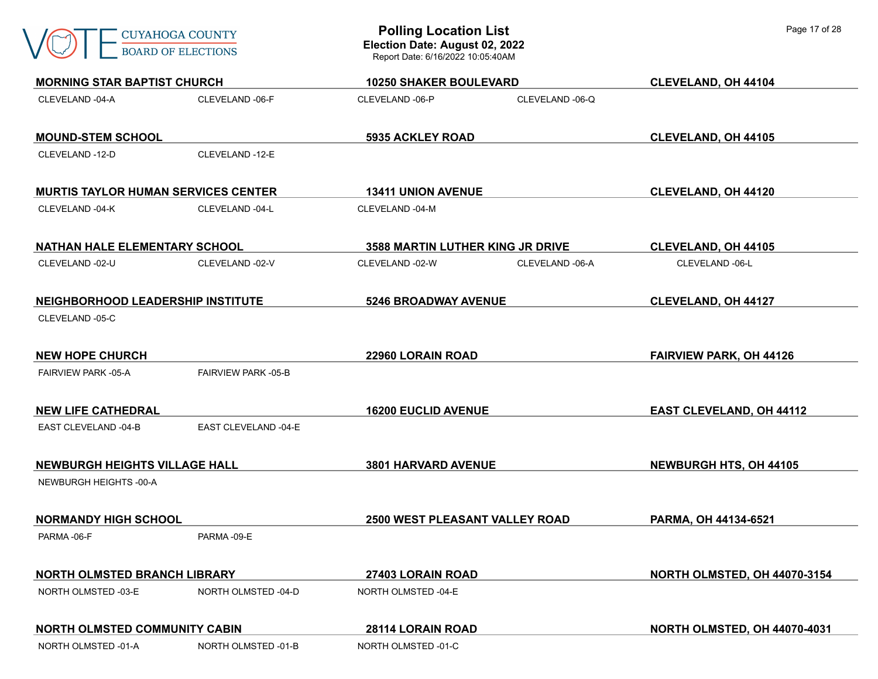| CUYAHOGA COUNTY           |
|---------------------------|
| <b>ROARD OF FLECTIONS</b> |

| <b>MORNING STAR BAPTIST CHURCH</b>         |                            | <b>10250 SHAKER BOULEVARD</b>    |                 | CLEVELAND, OH 44104             |
|--------------------------------------------|----------------------------|----------------------------------|-----------------|---------------------------------|
| CLEVELAND -04-A                            | CLEVELAND -06-F            | CLEVELAND -06-P                  | CLEVELAND -06-Q |                                 |
| <b>MOUND-STEM SCHOOL</b>                   |                            | 5935 ACKLEY ROAD                 |                 | <b>CLEVELAND, OH 44105</b>      |
| CLEVELAND -12-D                            | CLEVELAND -12-E            |                                  |                 |                                 |
| <b>MURTIS TAYLOR HUMAN SERVICES CENTER</b> |                            | <b>13411 UNION AVENUE</b>        |                 | <b>CLEVELAND, OH 44120</b>      |
| CLEVELAND -04-K                            | CLEVELAND -04-L            | CLEVELAND -04-M                  |                 |                                 |
| <b>NATHAN HALE ELEMENTARY SCHOOL</b>       |                            | 3588 MARTIN LUTHER KING JR DRIVE |                 | <b>CLEVELAND, OH 44105</b>      |
| CLEVELAND -02-U                            | CLEVELAND -02-V            | CLEVELAND -02-W                  | CLEVELAND -06-A | CLEVELAND -06-L                 |
| <b>NEIGHBORHOOD LEADERSHIP INSTITUTE</b>   |                            | <b>5246 BROADWAY AVENUE</b>      |                 | <b>CLEVELAND, OH 44127</b>      |
| CLEVELAND -05-C                            |                            |                                  |                 |                                 |
| <b>NEW HOPE CHURCH</b>                     |                            | 22960 LORAIN ROAD                |                 | <b>FAIRVIEW PARK, OH 44126</b>  |
| <b>FAIRVIEW PARK -05-A</b>                 | <b>FAIRVIEW PARK -05-B</b> |                                  |                 |                                 |
| <b>NEW LIFE CATHEDRAL</b>                  |                            | <b>16200 EUCLID AVENUE</b>       |                 | <b>EAST CLEVELAND, OH 44112</b> |
| EAST CLEVELAND -04-B                       | EAST CLEVELAND -04-E       |                                  |                 |                                 |
| <b>NEWBURGH HEIGHTS VILLAGE HALL</b>       |                            | <b>3801 HARVARD AVENUE</b>       |                 | <b>NEWBURGH HTS, OH 44105</b>   |
| NEWBURGH HEIGHTS -00-A                     |                            |                                  |                 |                                 |
| <b>NORMANDY HIGH SCHOOL</b>                |                            | 2500 WEST PLEASANT VALLEY ROAD   |                 | PARMA, OH 44134-6521            |
| PARMA-06-F                                 | PARMA-09-E                 |                                  |                 |                                 |
| <b>NORTH OLMSTED BRANCH LIBRARY</b>        |                            | 27403 LORAIN ROAD                |                 | NORTH OLMSTED, OH 44070-3154    |
| NORTH OLMSTED -03-E                        | NORTH OLMSTED -04-D        | NORTH OLMSTED -04-E              |                 |                                 |
| <b>NORTH OLMSTED COMMUNITY CABIN</b>       |                            | <b>28114 LORAIN ROAD</b>         |                 | NORTH OLMSTED, OH 44070-4031    |
| NORTH OLMSTED -01-A                        | NORTH OLMSTED -01-B        | NORTH OLMSTED -01-C              |                 |                                 |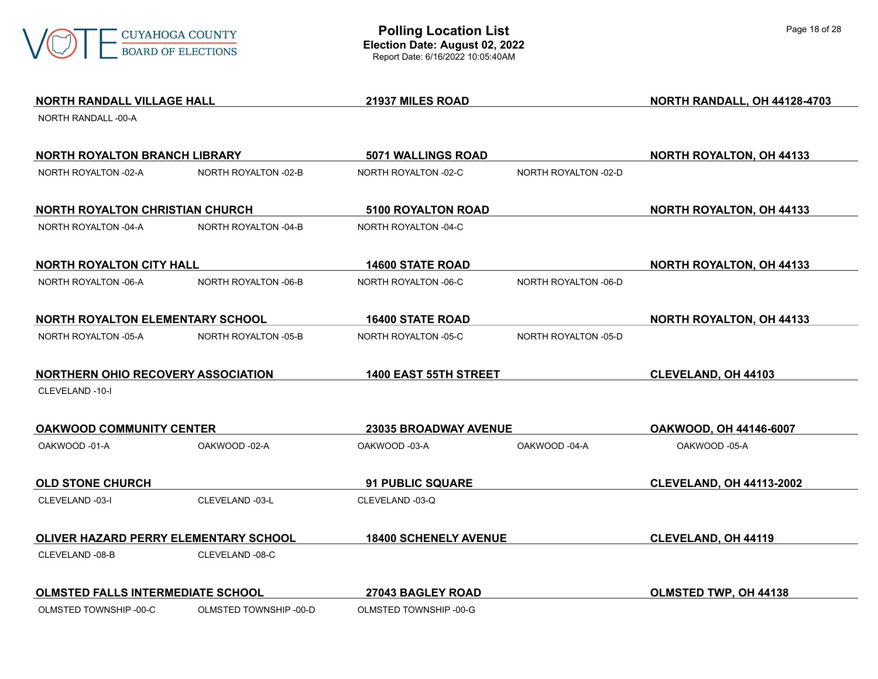

| <b>NORTH RANDALL VILLAGE HALL</b>            |                        | 21937 MILES ROAD             |                      | NORTH RANDALL, OH 44128-4703    |
|----------------------------------------------|------------------------|------------------------------|----------------------|---------------------------------|
| NORTH RANDALL -00-A                          |                        |                              |                      |                                 |
| <b>NORTH ROYALTON BRANCH LIBRARY</b>         |                        | <b>5071 WALLINGS ROAD</b>    |                      | <b>NORTH ROYALTON, OH 44133</b> |
| NORTH ROYALTON -02-A                         | NORTH ROYALTON -02-B   | NORTH ROYALTON -02-C         | NORTH ROYALTON -02-D |                                 |
| <b>NORTH ROYALTON CHRISTIAN CHURCH</b>       |                        | <b>5100 ROYALTON ROAD</b>    |                      | <b>NORTH ROYALTON, OH 44133</b> |
| NORTH ROYALTON -04-A                         | NORTH ROYALTON -04-B   | NORTH ROYALTON -04-C         |                      |                                 |
| <b>NORTH ROYALTON CITY HALL</b>              |                        | <b>14600 STATE ROAD</b>      |                      | <b>NORTH ROYALTON, OH 44133</b> |
| NORTH ROYALTON -06-A                         | NORTH ROYALTON -06-B   | NORTH ROYALTON -06-C         | NORTH ROYALTON -06-D |                                 |
| <b>NORTH ROYALTON ELEMENTARY SCHOOL</b>      |                        | <b>16400 STATE ROAD</b>      |                      | <b>NORTH ROYALTON, OH 44133</b> |
| NORTH ROYALTON -05-A                         | NORTH ROYALTON -05-B   | NORTH ROYALTON -05-C         | NORTH ROYALTON -05-D |                                 |
| <b>NORTHERN OHIO RECOVERY ASSOCIATION</b>    |                        | 1400 EAST 55TH STREET        |                      | CLEVELAND, OH 44103             |
| CLEVELAND -10-I                              |                        |                              |                      |                                 |
| <b>OAKWOOD COMMUNITY CENTER</b>              |                        | <b>23035 BROADWAY AVENUE</b> |                      | <b>OAKWOOD, OH 44146-6007</b>   |
| OAKWOOD -01-A                                | OAKWOOD -02-A          | OAKWOOD -03-A                | OAKWOOD -04-A        | OAKWOOD -05-A                   |
| <b>OLD STONE CHURCH</b>                      |                        | <b>91 PUBLIC SQUARE</b>      |                      | <b>CLEVELAND, OH 44113-2002</b> |
| CLEVELAND -03-I                              | CLEVELAND -03-L        | CLEVELAND -03-Q              |                      |                                 |
| <b>OLIVER HAZARD PERRY ELEMENTARY SCHOOL</b> |                        | <b>18400 SCHENELY AVENUE</b> |                      | <b>CLEVELAND, OH 44119</b>      |
| CLEVELAND -08-B                              | CLEVELAND -08-C        |                              |                      |                                 |
| <b>OLMSTED FALLS INTERMEDIATE SCHOOL</b>     |                        | 27043 BAGLEY ROAD            |                      | OLMSTED TWP, OH 44138           |
| OLMSTED TOWNSHIP -00-C                       | OLMSTED TOWNSHIP -00-D | OLMSTED TOWNSHIP -00-G       |                      |                                 |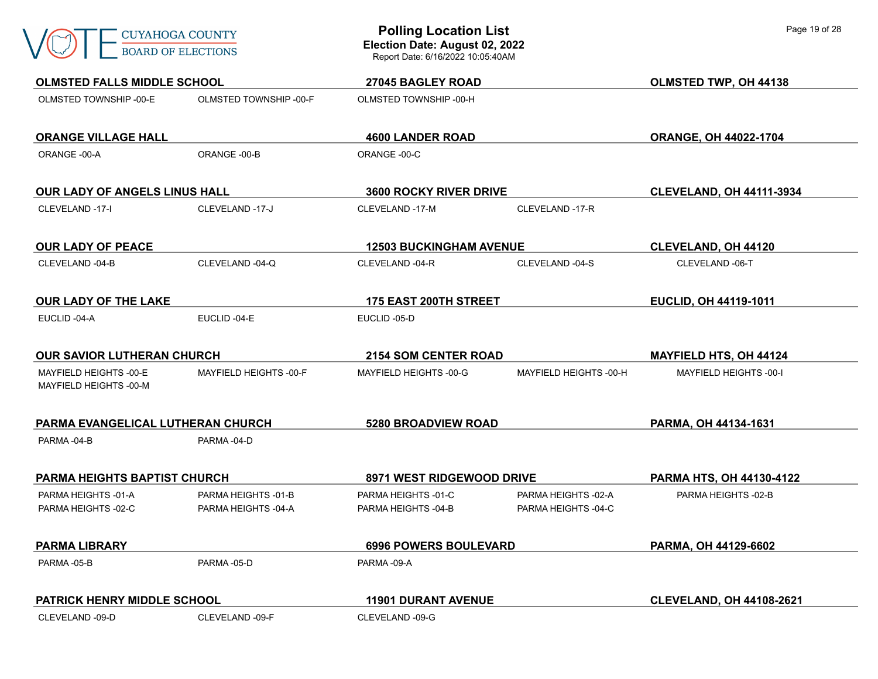

| <b>OLMSTED FALLS MIDDLE SCHOOL</b>               |                                            | <b>27045 BAGLEY ROAD</b>                   |                                            | OLMSTED TWP, OH 44138           |
|--------------------------------------------------|--------------------------------------------|--------------------------------------------|--------------------------------------------|---------------------------------|
| OLMSTED TOWNSHIP -00-E                           | OLMSTED TOWNSHIP -00-F                     | OLMSTED TOWNSHIP -00-H                     |                                            |                                 |
| <b>ORANGE VILLAGE HALL</b>                       |                                            | <b>4600 LANDER ROAD</b>                    |                                            | ORANGE, OH 44022-1704           |
| ORANGE -00-A                                     | ORANGE-00-B                                | ORANGE -00-C                               |                                            |                                 |
| <b>OUR LADY OF ANGELS LINUS HALL</b>             |                                            | <b>3600 ROCKY RIVER DRIVE</b>              |                                            | <b>CLEVELAND, OH 44111-3934</b> |
| CLEVELAND -17-I                                  | CLEVELAND -17-J                            | CLEVELAND -17-M                            | CLEVELAND -17-R                            |                                 |
| <b>OUR LADY OF PEACE</b>                         |                                            | <b>12503 BUCKINGHAM AVENUE</b>             |                                            | <b>CLEVELAND, OH 44120</b>      |
| CLEVELAND -04-B                                  | CLEVELAND -04-Q                            | CLEVELAND -04-R                            | CLEVELAND -04-S                            | CLEVELAND -06-T                 |
| <b>OUR LADY OF THE LAKE</b>                      |                                            | 175 EAST 200TH STREET                      |                                            | EUCLID, OH 44119-1011           |
| EUCLID-04-A                                      | EUCLID-04-E                                | EUCLID-05-D                                |                                            |                                 |
| <b>OUR SAVIOR LUTHERAN CHURCH</b>                |                                            | <b>2154 SOM CENTER ROAD</b>                |                                            | <b>MAYFIELD HTS, OH 44124</b>   |
| MAYFIELD HEIGHTS -00-E<br>MAYFIELD HEIGHTS -00-M | MAYFIELD HEIGHTS -00-F                     | MAYFIELD HEIGHTS -00-G                     | MAYFIELD HEIGHTS -00-H                     | MAYFIELD HEIGHTS -00-I          |
| PARMA EVANGELICAL LUTHERAN CHURCH                |                                            | <b>5280 BROADVIEW ROAD</b>                 |                                            | PARMA, OH 44134-1631            |
| PARMA-04-B                                       | PARMA-04-D                                 |                                            |                                            |                                 |
| PARMA HEIGHTS BAPTIST CHURCH                     |                                            | <b>8971 WEST RIDGEWOOD DRIVE</b>           |                                            | PARMA HTS, OH 44130-4122        |
| PARMA HEIGHTS -01-A<br>PARMA HEIGHTS -02-C       | PARMA HEIGHTS -01-B<br>PARMA HEIGHTS -04-A | PARMA HEIGHTS -01-C<br>PARMA HEIGHTS -04-B | PARMA HEIGHTS -02-A<br>PARMA HEIGHTS -04-C | PARMA HEIGHTS -02-B             |
| <b>PARMA LIBRARY</b>                             |                                            | <b>6996 POWERS BOULEVARD</b>               |                                            | PARMA, OH 44129-6602            |
| PARMA-05-B                                       | PARMA-05-D                                 | PARMA-09-A                                 |                                            |                                 |
| PATRICK HENRY MIDDLE SCHOOL                      |                                            | <b>11901 DURANT AVENUE</b>                 |                                            | <b>CLEVELAND, OH 44108-2621</b> |
| CLEVELAND -09-D                                  | CLEVELAND -09-F                            | CLEVELAND -09-G                            |                                            |                                 |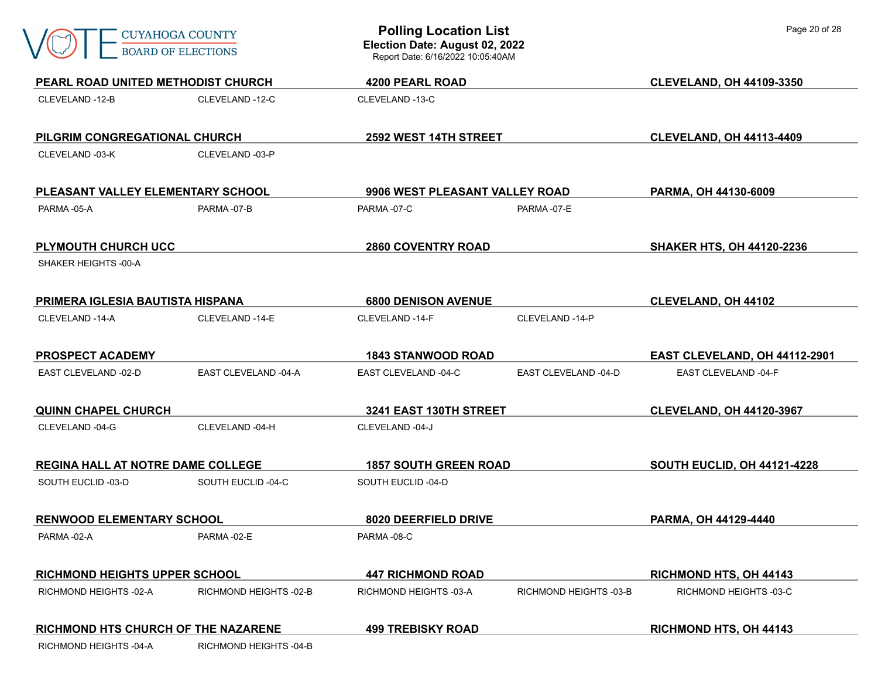| <b>CUYAHOGA COUNTY</b><br><b>BOARD OF ELECTIONS</b> |                        | <b>Polling Location List</b><br>Election Date: August 02, 2022<br>Report Date: 6/16/2022 10:05:40AM |                        | Page 20 of 28                      |  |
|-----------------------------------------------------|------------------------|-----------------------------------------------------------------------------------------------------|------------------------|------------------------------------|--|
| PEARL ROAD UNITED METHODIST CHURCH                  |                        | <b>4200 PEARL ROAD</b>                                                                              |                        | <b>CLEVELAND, OH 44109-3350</b>    |  |
| CLEVELAND -12-B                                     | CLEVELAND -12-C        | CLEVELAND-13-C                                                                                      |                        |                                    |  |
| PILGRIM CONGREGATIONAL CHURCH                       |                        | 2592 WEST 14TH STREET                                                                               |                        | <b>CLEVELAND, OH 44113-4409</b>    |  |
| CLEVELAND -03-K                                     | CLEVELAND -03-P        |                                                                                                     |                        |                                    |  |
| PLEASANT VALLEY ELEMENTARY SCHOOL                   |                        | 9906 WEST PLEASANT VALLEY ROAD                                                                      |                        | PARMA, OH 44130-6009               |  |
| PARMA-05-A                                          | PARMA-07-B             | PARMA-07-E<br>PARMA-07-C                                                                            |                        |                                    |  |
| PLYMOUTH CHURCH UCC                                 |                        | <b>2860 COVENTRY ROAD</b>                                                                           |                        | <b>SHAKER HTS, OH 44120-2236</b>   |  |
| SHAKER HEIGHTS -00-A                                |                        |                                                                                                     |                        |                                    |  |
| <b>PRIMERA IGLESIA BAUTISTA HISPANA</b>             |                        | <b>6800 DENISON AVENUE</b>                                                                          |                        | <b>CLEVELAND, OH 44102</b>         |  |
| CLEVELAND -14-A                                     | CLEVELAND -14-E        | CLEVELAND -14-F                                                                                     | CLEVELAND -14-P        |                                    |  |
| <b>PROSPECT ACADEMY</b>                             |                        | <b>1843 STANWOOD ROAD</b>                                                                           |                        | EAST CLEVELAND, OH 44112-2901      |  |
| EAST CLEVELAND -02-D                                | EAST CLEVELAND -04-A   | EAST CLEVELAND -04-C                                                                                | EAST CLEVELAND -04-D   | EAST CLEVELAND -04-F               |  |
| <b>QUINN CHAPEL CHURCH</b>                          |                        | 3241 EAST 130TH STREET                                                                              |                        | <b>CLEVELAND, OH 44120-3967</b>    |  |
| CLEVELAND -04-G                                     | CLEVELAND -04-H        | CLEVELAND -04-J                                                                                     |                        |                                    |  |
| <b>REGINA HALL AT NOTRE DAME COLLEGE</b>            |                        | <b>1857 SOUTH GREEN ROAD</b>                                                                        |                        | <b>SOUTH EUCLID, OH 44121-4228</b> |  |
| SOUTH EUCLID -03-D                                  | SOUTH EUCLID -04-C     | SOUTH EUCLID -04-D                                                                                  |                        |                                    |  |
| <b>RENWOOD ELEMENTARY SCHOOL</b>                    |                        | 8020 DEERFIELD DRIVE                                                                                |                        | PARMA, OH 44129-4440               |  |
| PARMA-02-A                                          | PARMA-02-E             | PARMA-08-C                                                                                          |                        |                                    |  |
| RICHMOND HEIGHTS UPPER SCHOOL                       |                        | <b>447 RICHMOND ROAD</b>                                                                            |                        | <b>RICHMOND HTS, OH 44143</b>      |  |
| RICHMOND HEIGHTS -02-A                              | RICHMOND HEIGHTS -02-B | RICHMOND HEIGHTS -03-A                                                                              | RICHMOND HEIGHTS -03-B | RICHMOND HEIGHTS -03-C             |  |
| RICHMOND HTS CHURCH OF THE NAZARENE                 |                        | <b>499 TREBISKY ROAD</b>                                                                            |                        | RICHMOND HTS, OH 44143             |  |
| RICHMOND HEIGHTS -04-A                              | RICHMOND HEIGHTS -04-B |                                                                                                     |                        |                                    |  |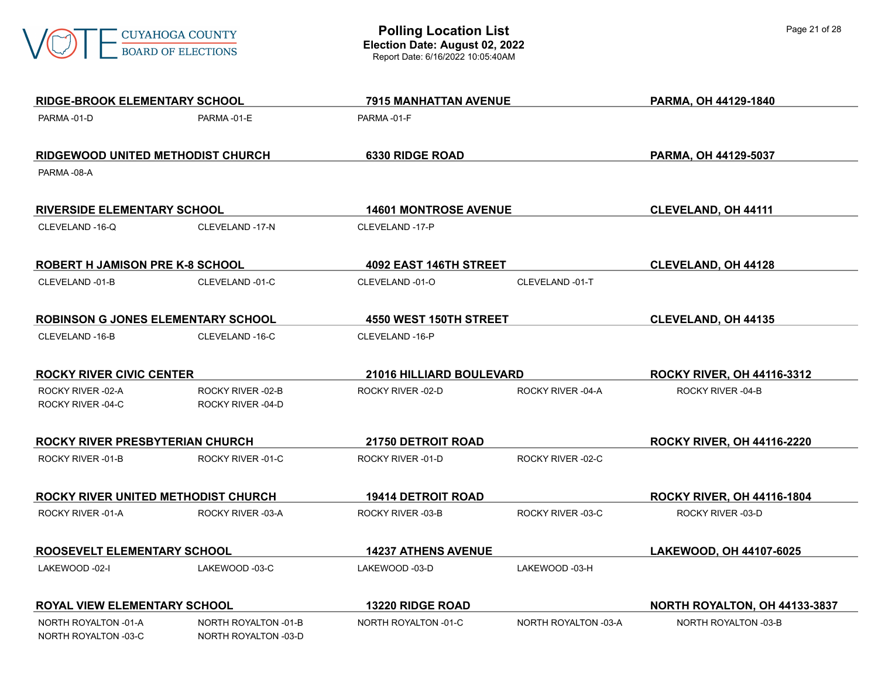

| <b>RIDGE-BROOK ELEMENTARY SCHOOL</b>         |                                              | 7915 MANHATTAN AVENUE           |                      | PARMA, OH 44129-1840              |
|----------------------------------------------|----------------------------------------------|---------------------------------|----------------------|-----------------------------------|
| PARMA-01-D                                   | PARMA-01-E                                   | PARMA-01-F                      |                      |                                   |
| RIDGEWOOD UNITED METHODIST CHURCH            |                                              | <b>6330 RIDGE ROAD</b>          |                      | PARMA, OH 44129-5037              |
| PARMA-08-A                                   |                                              |                                 |                      |                                   |
|                                              |                                              |                                 |                      |                                   |
| <b>RIVERSIDE ELEMENTARY SCHOOL</b>           |                                              | <b>14601 MONTROSE AVENUE</b>    |                      | <b>CLEVELAND, OH 44111</b>        |
| CLEVELAND -16-Q                              | CLEVELAND -17-N                              | CLEVELAND -17-P                 |                      |                                   |
| ROBERT H JAMISON PRE K-8 SCHOOL              |                                              | <b>4092 EAST 146TH STREET</b>   |                      | <b>CLEVELAND, OH 44128</b>        |
| CLEVELAND -01-B                              | CLEVELAND -01-C                              | CLEVELAND -01-O                 | CLEVELAND -01-T      |                                   |
| <b>ROBINSON G JONES ELEMENTARY SCHOOL</b>    |                                              | 4550 WEST 150TH STREET          |                      | <b>CLEVELAND, OH 44135</b>        |
| CLEVELAND -16-B                              | CLEVELAND -16-C                              | CLEVELAND -16-P                 |                      |                                   |
| <b>ROCKY RIVER CIVIC CENTER</b>              |                                              | <b>21016 HILLIARD BOULEVARD</b> |                      | <b>ROCKY RIVER, OH 44116-3312</b> |
| ROCKY RIVER -02-A                            | ROCKY RIVER -02-B                            | ROCKY RIVER -02-D               | ROCKY RIVER -04-A    | ROCKY RIVER -04-B                 |
| ROCKY RIVER -04-C                            | ROCKY RIVER -04-D                            |                                 |                      |                                   |
| ROCKY RIVER PRESBYTERIAN CHURCH              |                                              | <b>21750 DETROIT ROAD</b>       |                      | <b>ROCKY RIVER, OH 44116-2220</b> |
| ROCKY RIVER -01-B                            | ROCKY RIVER -01-C                            | ROCKY RIVER -01-D               | ROCKY RIVER -02-C    |                                   |
| ROCKY RIVER UNITED METHODIST CHURCH          |                                              | <b>19414 DETROIT ROAD</b>       |                      | <b>ROCKY RIVER, OH 44116-1804</b> |
| ROCKY RIVER -01-A                            | ROCKY RIVER -03-A                            | ROCKY RIVER -03-B               | ROCKY RIVER -03-C    | ROCKY RIVER -03-D                 |
| ROOSEVELT ELEMENTARY SCHOOL                  |                                              | <b>14237 ATHENS AVENUE</b>      |                      | LAKEWOOD, OH 44107-6025           |
| LAKEWOOD -02-I                               | LAKEWOOD -03-C                               | LAKEWOOD -03-D                  | LAKEWOOD -03-H       |                                   |
| <b>ROYAL VIEW ELEMENTARY SCHOOL</b>          |                                              | 13220 RIDGE ROAD                |                      | NORTH ROYALTON, OH 44133-3837     |
| NORTH ROYALTON -01-A<br>NORTH ROYALTON -03-C | NORTH ROYALTON -01-B<br>NORTH ROYALTON -03-D | NORTH ROYALTON -01-C            | NORTH ROYALTON -03-A | NORTH ROYALTON -03-B              |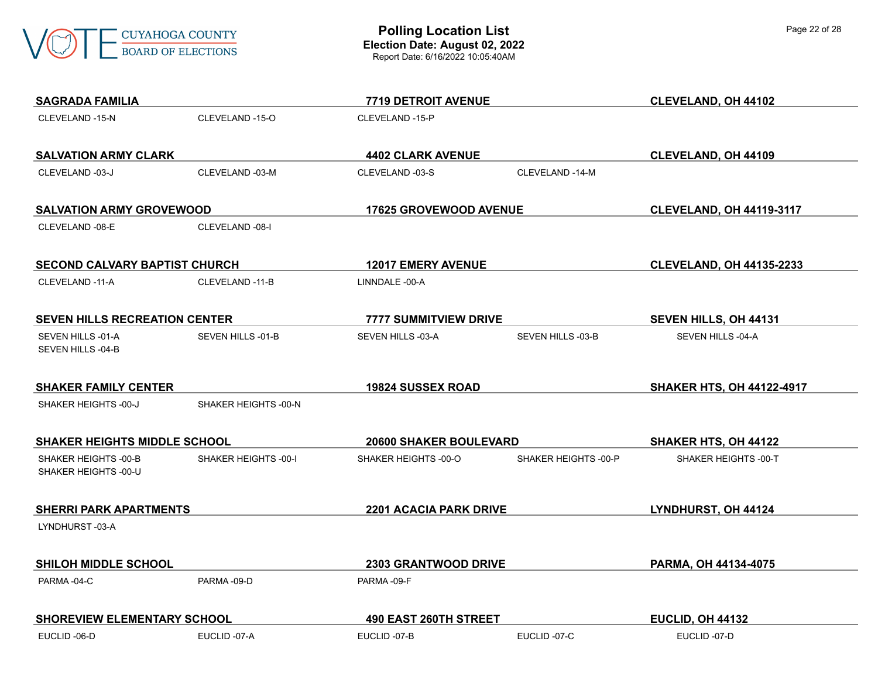

| Page 22 of 28 |
|---------------|
|---------------|

| <b>SAGRADA FAMILIA</b>                       |                      | 7719 DETROIT AVENUE           |                          | CLEVELAND, OH 44102              |
|----------------------------------------------|----------------------|-------------------------------|--------------------------|----------------------------------|
| CLEVELAND -15-N                              | CLEVELAND -15-O      | CLEVELAND -15-P               |                          |                                  |
| <b>SALVATION ARMY CLARK</b>                  |                      | <b>4402 CLARK AVENUE</b>      |                          | <b>CLEVELAND, OH 44109</b>       |
| CLEVELAND -03-J                              | CLEVELAND -03-M      | CLEVELAND -03-S               | CLEVELAND -14-M          |                                  |
| <b>SALVATION ARMY GROVEWOOD</b>              |                      | 17625 GROVEWOOD AVENUE        |                          | <b>CLEVELAND, OH 44119-3117</b>  |
| CLEVELAND -08-E                              | CLEVELAND -08-I      |                               |                          |                                  |
| <b>SECOND CALVARY BAPTIST CHURCH</b>         |                      | <b>12017 EMERY AVENUE</b>     |                          | <b>CLEVELAND, OH 44135-2233</b>  |
| CLEVELAND -11-A                              | CLEVELAND -11-B      | LINNDALE -00-A                |                          |                                  |
| <b>SEVEN HILLS RECREATION CENTER</b>         |                      | <b>7777 SUMMITVIEW DRIVE</b>  |                          | SEVEN HILLS, OH 44131            |
| SEVEN HILLS -01-A<br>SEVEN HILLS -04-B       | SEVEN HILLS -01-B    | SEVEN HILLS -03-A             | <b>SEVEN HILLS -03-B</b> | SEVEN HILLS -04-A                |
| <b>SHAKER FAMILY CENTER</b>                  |                      | <b>19824 SUSSEX ROAD</b>      |                          | <b>SHAKER HTS, OH 44122-4917</b> |
| SHAKER HEIGHTS -00-J                         | SHAKER HEIGHTS -00-N |                               |                          |                                  |
| <b>SHAKER HEIGHTS MIDDLE SCHOOL</b>          |                      | 20600 SHAKER BOULEVARD        |                          | SHAKER HTS, OH 44122             |
| SHAKER HEIGHTS -00-B<br>SHAKER HEIGHTS -00-U | SHAKER HEIGHTS -00-I | SHAKER HEIGHTS -00-O          | SHAKER HEIGHTS -00-P     | SHAKER HEIGHTS -00-T             |
| <b>SHERRI PARK APARTMENTS</b>                |                      | <b>2201 ACACIA PARK DRIVE</b> |                          | LYNDHURST, OH 44124              |
| LYNDHURST-03-A                               |                      |                               |                          |                                  |
| <b>SHILOH MIDDLE SCHOOL</b>                  |                      | 2303 GRANTWOOD DRIVE          |                          | PARMA, OH 44134-4075             |
| PARMA-04-C                                   | PARMA-09-D           | PARMA-09-F                    |                          |                                  |
| <b>SHOREVIEW ELEMENTARY SCHOOL</b>           |                      | 490 EAST 260TH STREET         |                          | EUCLID, OH 44132                 |
| EUCLID-06-D                                  | EUCLID-07-A          | EUCLID-07-B                   | EUCLID-07-C              | EUCLID-07-D                      |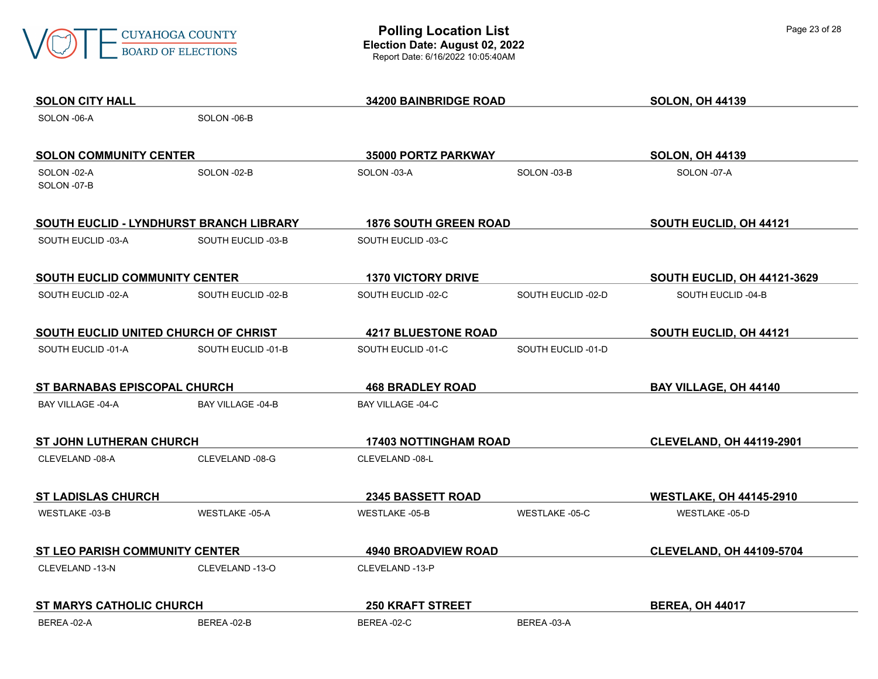

| <b>SOLON CITY HALL</b>                  |                       | 34200 BAINBRIDGE ROAD        |                       | <b>SOLON, OH 44139</b>             |
|-----------------------------------------|-----------------------|------------------------------|-----------------------|------------------------------------|
| SOLON -06-A                             | SOLON -06-B           |                              |                       |                                    |
| <b>SOLON COMMUNITY CENTER</b>           |                       | 35000 PORTZ PARKWAY          |                       | <b>SOLON, OH 44139</b>             |
| SOLON -02-A<br>SOLON -07-B              | SOLON-02-B            | SOLON -03-A                  | SOLON-03-B            | SOLON -07-A                        |
| SOUTH EUCLID - LYNDHURST BRANCH LIBRARY |                       | <b>1876 SOUTH GREEN ROAD</b> |                       | SOUTH EUCLID, OH 44121             |
| SOUTH EUCLID -03-A                      | SOUTH EUCLID -03-B    | SOUTH EUCLID -03-C           |                       |                                    |
| <b>SOUTH EUCLID COMMUNITY CENTER</b>    |                       | <b>1370 VICTORY DRIVE</b>    |                       | <b>SOUTH EUCLID, OH 44121-3629</b> |
| SOUTH EUCLID -02-A                      | SOUTH EUCLID -02-B    | SOUTH EUCLID -02-C           | SOUTH EUCLID -02-D    | SOUTH EUCLID -04-B                 |
| SOUTH EUCLID UNITED CHURCH OF CHRIST    |                       | <b>4217 BLUESTONE ROAD</b>   |                       | SOUTH EUCLID, OH 44121             |
| SOUTH EUCLID -01-A                      | SOUTH EUCLID -01-B    | SOUTH EUCLID -01-C           | SOUTH EUCLID-01-D     |                                    |
| ST BARNABAS EPISCOPAL CHURCH            |                       | <b>468 BRADLEY ROAD</b>      |                       | BAY VILLAGE, OH 44140              |
| BAY VILLAGE -04-A                       | BAY VILLAGE -04-B     | BAY VILLAGE -04-C            |                       |                                    |
| <b>ST JOHN LUTHERAN CHURCH</b>          |                       | <b>17403 NOTTINGHAM ROAD</b> |                       | <b>CLEVELAND, OH 44119-2901</b>    |
| CLEVELAND -08-A                         | CLEVELAND -08-G       | CLEVELAND -08-L              |                       |                                    |
| <b>ST LADISLAS CHURCH</b>               |                       | <b>2345 BASSETT ROAD</b>     |                       | <b>WESTLAKE, OH 44145-2910</b>     |
| WESTLAKE -03-B                          | <b>WESTLAKE -05-A</b> | <b>WESTLAKE -05-B</b>        | <b>WESTLAKE -05-C</b> | <b>WESTLAKE -05-D</b>              |
| ST LEO PARISH COMMUNITY CENTER          |                       | <b>4940 BROADVIEW ROAD</b>   |                       | <b>CLEVELAND, OH 44109-5704</b>    |
| CLEVELAND -13-N                         | CLEVELAND -13-O       | CLEVELAND -13-P              |                       |                                    |
| <b>ST MARYS CATHOLIC CHURCH</b>         |                       | <b>250 KRAFT STREET</b>      |                       | <b>BEREA, OH 44017</b>             |
| BEREA-02-A                              | BEREA-02-B            | BEREA-02-C                   | BEREA-03-A            |                                    |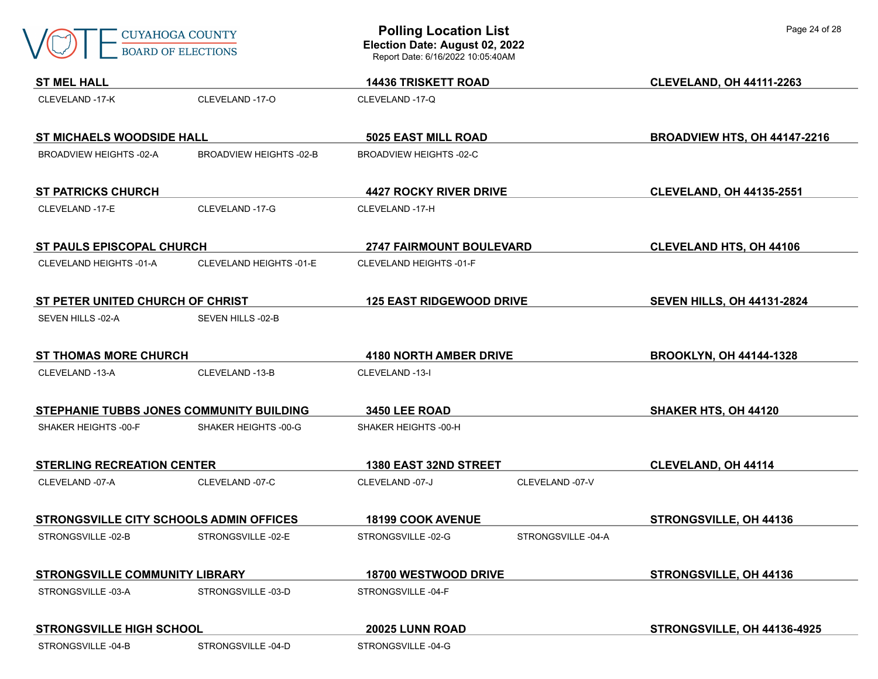|                                                | <b>CUYAHOGA COUNTY</b><br><b>BOARD OF ELECTIONS</b> | <b>Polling Location List</b><br>Election Date: August 02, 2022<br>Report Date: 6/16/2022 10:05:40AM |                               | Page 24 of 28                     |  |
|------------------------------------------------|-----------------------------------------------------|-----------------------------------------------------------------------------------------------------|-------------------------------|-----------------------------------|--|
| <b>ST MEL HALL</b>                             |                                                     |                                                                                                     |                               | <b>CLEVELAND, OH 44111-2263</b>   |  |
| CLEVELAND -17-K                                | CLEVELAND -17-O                                     | <b>14436 TRISKETT ROAD</b><br>CLEVELAND -17-Q                                                       |                               |                                   |  |
|                                                | <b>ST MICHAELS WOODSIDE HALL</b>                    |                                                                                                     | 5025 EAST MILL ROAD           | BROADVIEW HTS, OH 44147-2216      |  |
| <b>BROADVIEW HEIGHTS -02-A</b>                 | <b>BROADVIEW HEIGHTS -02-B</b>                      | <b>BROADVIEW HEIGHTS -02-C</b>                                                                      |                               |                                   |  |
| <b>ST PATRICKS CHURCH</b>                      |                                                     | <b>4427 ROCKY RIVER DRIVE</b>                                                                       |                               | <b>CLEVELAND, OH 44135-2551</b>   |  |
| CLEVELAND -17-E                                | CLEVELAND -17-G                                     | CLEVELAND -17-H                                                                                     |                               |                                   |  |
|                                                | <b>ST PAULS EPISCOPAL CHURCH</b>                    |                                                                                                     | 2747 FAIRMOUNT BOULEVARD      | <b>CLEVELAND HTS, OH 44106</b>    |  |
| CLEVELAND HEIGHTS -01-A                        | CLEVELAND HEIGHTS -01-E                             | <b>CLEVELAND HEIGHTS -01-F</b>                                                                      |                               |                                   |  |
| ST PETER UNITED CHURCH OF CHRIST               |                                                     | <b>125 EAST RIDGEWOOD DRIVE</b>                                                                     |                               | <b>SEVEN HILLS, OH 44131-2824</b> |  |
| SEVEN HILLS -02-A                              | SEVEN HILLS -02-B                                   |                                                                                                     |                               |                                   |  |
|                                                | <b>ST THOMAS MORE CHURCH</b>                        |                                                                                                     | <b>4180 NORTH AMBER DRIVE</b> | <b>BROOKLYN, OH 44144-1328</b>    |  |
| CLEVELAND -13-A                                | CLEVELAND -13-B                                     | CLEVELAND -13-I                                                                                     |                               |                                   |  |
| STEPHANIE TUBBS JONES COMMUNITY BUILDING       |                                                     | 3450 LEE ROAD                                                                                       |                               | SHAKER HTS, OH 44120              |  |
| SHAKER HEIGHTS -00-F                           | SHAKER HEIGHTS -00-G                                | SHAKER HEIGHTS -00-H                                                                                |                               |                                   |  |
| <b>STERLING RECREATION CENTER</b>              |                                                     | 1380 EAST 32ND STREET                                                                               |                               | <b>CLEVELAND, OH 44114</b>        |  |
| CLEVELAND -07-A                                | CLEVELAND -07-C                                     | CLEVELAND -07-J                                                                                     | CLEVELAND -07-V               |                                   |  |
| <b>STRONGSVILLE CITY SCHOOLS ADMIN OFFICES</b> |                                                     | 18199 COOK AVENUE                                                                                   |                               | STRONGSVILLE, OH 44136            |  |
| STRONGSVILLE-02-B                              | STRONGSVILLE-02-E                                   | STRONGSVILLE-02-G                                                                                   | STRONGSVILLE-04-A             |                                   |  |
| STRONGSVILLE COMMUNITY LIBRARY                 |                                                     | 18700 WESTWOOD DRIVE                                                                                |                               | STRONGSVILLE, OH 44136            |  |
| STRONGSVILLE -03-A                             | STRONGSVILLE -03-D                                  | STRONGSVILLE -04-F                                                                                  |                               |                                   |  |
| <b>STRONGSVILLE HIGH SCHOOL</b>                |                                                     | 20025 LUNN ROAD                                                                                     |                               | STRONGSVILLE, OH 44136-4925       |  |
| STRONGSVILLE-04-B                              | STRONGSVILLE-04-D                                   | STRONGSVILLE -04-G                                                                                  |                               |                                   |  |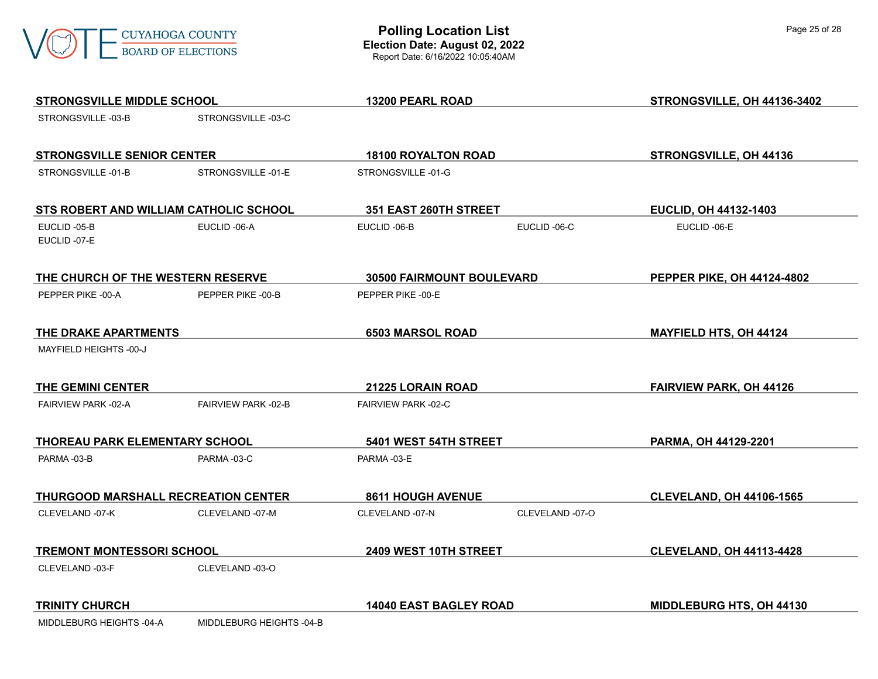

| <b>STRONGSVILLE MIDDLE SCHOOL</b>      |                          | 13200 PEARL ROAD              |                 | STRONGSVILLE, OH 44136-3402     |
|----------------------------------------|--------------------------|-------------------------------|-----------------|---------------------------------|
| STRONGSVILLE-03-B                      | STRONGSVILLE-03-C        |                               |                 |                                 |
| <b>STRONGSVILLE SENIOR CENTER</b>      |                          | <b>18100 ROYALTON ROAD</b>    |                 | STRONGSVILLE, OH 44136          |
| STRONGSVILLE-01-B                      | STRONGSVILLE-01-E        | STRONGSVILLE-01-G             |                 |                                 |
| STS ROBERT AND WILLIAM CATHOLIC SCHOOL |                          | 351 EAST 260TH STREET         |                 | EUCLID, OH 44132-1403           |
| EUCLID-05-B<br>EUCLID-07-E             | EUCLID-06-A              | EUCLID-06-B                   | EUCLID-06-C     | EUCLID-06-E                     |
| THE CHURCH OF THE WESTERN RESERVE      |                          | 30500 FAIRMOUNT BOULEVARD     |                 | PEPPER PIKE, OH 44124-4802      |
| PEPPER PIKE -00-A                      | PEPPER PIKE -00-B        | PEPPER PIKE -00-E             |                 |                                 |
| THE DRAKE APARTMENTS                   |                          | <b>6503 MARSOL ROAD</b>       |                 | <b>MAYFIELD HTS, OH 44124</b>   |
| MAYFIELD HEIGHTS -00-J                 |                          |                               |                 |                                 |
| THE GEMINI CENTER                      |                          | 21225 LORAIN ROAD             |                 | <b>FAIRVIEW PARK, OH 44126</b>  |
| FAIRVIEW PARK -02-A                    | FAIRVIEW PARK -02-B      | FAIRVIEW PARK -02-C           |                 |                                 |
| THOREAU PARK ELEMENTARY SCHOOL         |                          | 5401 WEST 54TH STREET         |                 | PARMA, OH 44129-2201            |
| PARMA-03-B                             | PARMA-03-C               | PARMA-03-E                    |                 |                                 |
| THURGOOD MARSHALL RECREATION CENTER    |                          | <b>8611 HOUGH AVENUE</b>      |                 | <b>CLEVELAND, OH 44106-1565</b> |
| CLEVELAND -07-K                        | CLEVELAND -07-M          | CLEVELAND -07-N               | CLEVELAND -07-O |                                 |
| <b>TREMONT MONTESSORI SCHOOL</b>       |                          | 2409 WEST 10TH STREET         |                 | <b>CLEVELAND, OH 44113-4428</b> |
| CLEVELAND -03-F                        | CLEVELAND -03-O          |                               |                 |                                 |
| <b>TRINITY CHURCH</b>                  |                          | <b>14040 EAST BAGLEY ROAD</b> |                 | MIDDLEBURG HTS, OH 44130        |
| MIDDLEBURG HEIGHTS -04-A               | MIDDLEBURG HEIGHTS -04-B |                               |                 |                                 |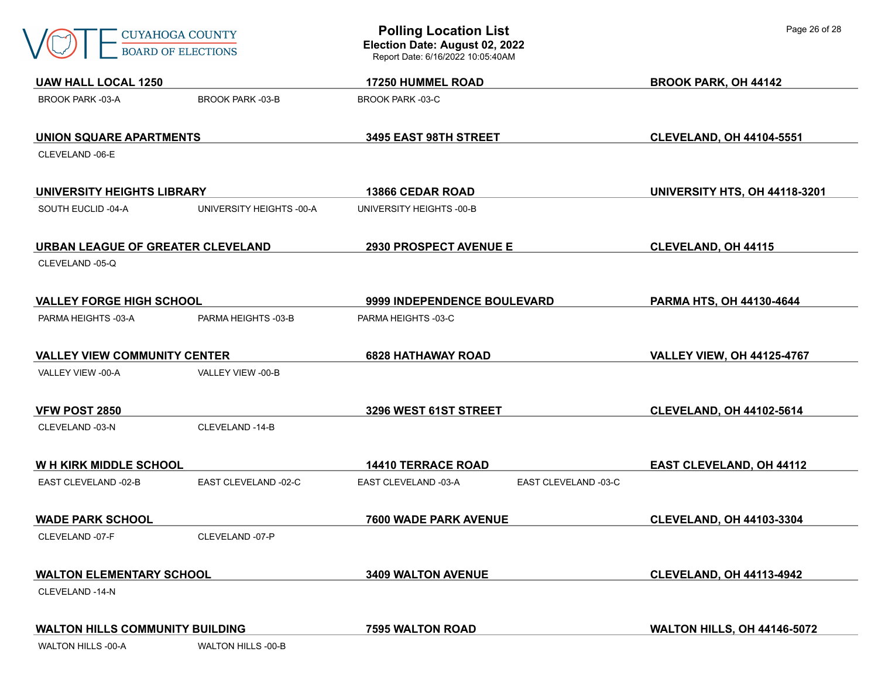| CUYAHOGA COUNTY    |
|--------------------|
| ROARD OF FLECTIONS |

| <b>UAW HALL LOCAL 1250</b>             |                          | <b>17250 HUMMEL ROAD</b>                     | <b>BROOK PARK, OH 44142</b>        |
|----------------------------------------|--------------------------|----------------------------------------------|------------------------------------|
| <b>BROOK PARK -03-A</b>                | <b>BROOK PARK -03-B</b>  | <b>BROOK PARK -03-C</b>                      |                                    |
| UNION SQUARE APARTMENTS                |                          | 3495 EAST 98TH STREET                        | <b>CLEVELAND, OH 44104-5551</b>    |
| CLEVELAND -06-E                        |                          |                                              |                                    |
| UNIVERSITY HEIGHTS LIBRARY             |                          | <b>13866 CEDAR ROAD</b>                      | UNIVERSITY HTS, OH 44118-3201      |
| SOUTH EUCLID-04-A                      | UNIVERSITY HEIGHTS -00-A | UNIVERSITY HEIGHTS -00-B                     |                                    |
| URBAN LEAGUE OF GREATER CLEVELAND      |                          | <b>2930 PROSPECT AVENUE E</b>                | <b>CLEVELAND, OH 44115</b>         |
| CLEVELAND -05-Q                        |                          |                                              |                                    |
| <b>VALLEY FORGE HIGH SCHOOL</b>        |                          | 9999 INDEPENDENCE BOULEVARD                  | PARMA HTS, OH 44130-4644           |
| PARMA HEIGHTS -03-A                    | PARMA HEIGHTS -03-B      | PARMA HEIGHTS -03-C                          |                                    |
| <b>VALLEY VIEW COMMUNITY CENTER</b>    |                          | <b>6828 HATHAWAY ROAD</b>                    | <b>VALLEY VIEW, OH 44125-4767</b>  |
| VALLEY VIEW -00-A                      | VALLEY VIEW -00-B        |                                              |                                    |
| <b>VFW POST 2850</b>                   |                          | 3296 WEST 61ST STREET                        | <b>CLEVELAND, OH 44102-5614</b>    |
| CLEVELAND -03-N                        | CLEVELAND -14-B          |                                              |                                    |
| <b>WH KIRK MIDDLE SCHOOL</b>           |                          | <b>14410 TERRACE ROAD</b>                    | <b>EAST CLEVELAND, OH 44112</b>    |
| EAST CLEVELAND -02-B                   | EAST CLEVELAND -02-C     | EAST CLEVELAND -03-A<br>EAST CLEVELAND -03-C |                                    |
| <b>WADE PARK SCHOOL</b>                |                          | 7600 WADE PARK AVENUE                        | <b>CLEVELAND, OH 44103-3304</b>    |
| CLEVELAND -07-F                        | CLEVELAND -07-P          |                                              |                                    |
| <b>WALTON ELEMENTARY SCHOOL</b>        |                          | 3409 WALTON AVENUE                           | <b>CLEVELAND, OH 44113-4942</b>    |
| CLEVELAND -14-N                        |                          |                                              |                                    |
| <b>WALTON HILLS COMMUNITY BUILDING</b> |                          | 7595 WALTON ROAD                             | <b>WALTON HILLS, OH 44146-5072</b> |
| <b>WALTON HILLS -00-A</b>              | WALTON HILLS -00-B       |                                              |                                    |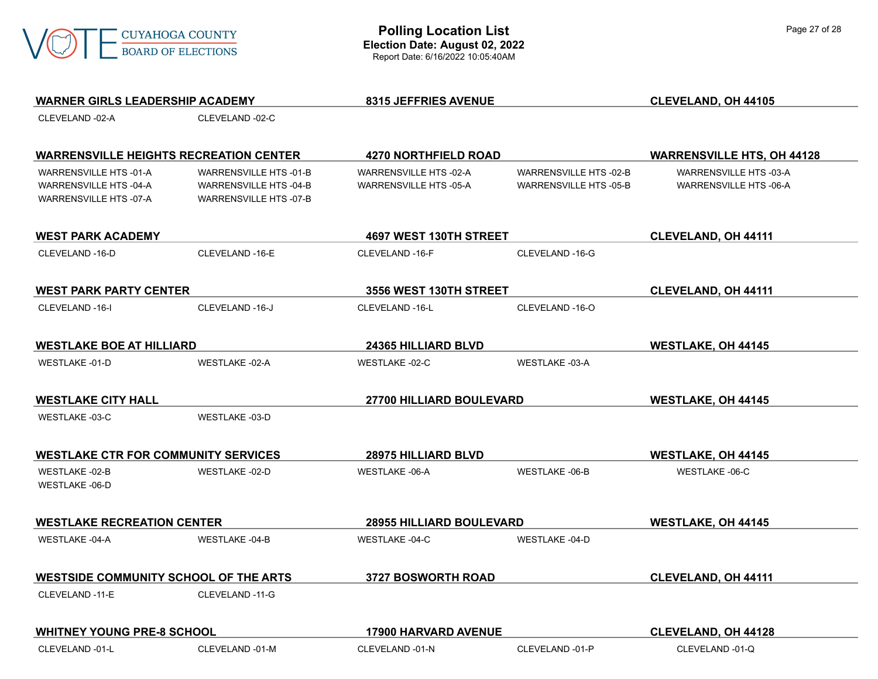

| <b>WARNER GIRLS LEADERSHIP ACADEMY</b>        |                               | 8315 JEFFRIES AVENUE            |                               | <b>CLEVELAND, OH 44105</b>        |
|-----------------------------------------------|-------------------------------|---------------------------------|-------------------------------|-----------------------------------|
| CLEVELAND -02-A                               | CLEVELAND -02-C               |                                 |                               |                                   |
|                                               |                               |                                 |                               |                                   |
| <b>WARRENSVILLE HEIGHTS RECREATION CENTER</b> |                               | <b>4270 NORTHFIELD ROAD</b>     |                               | <b>WARRENSVILLE HTS, OH 44128</b> |
| WARRENSVILLE HTS -01-A                        | WARRENSVILLE HTS -01-B        | WARRENSVILLE HTS -02-A          | <b>WARRENSVILLE HTS -02-B</b> | WARRENSVILLE HTS -03-A            |
| WARRENSVILLE HTS -04-A                        | <b>WARRENSVILLE HTS -04-B</b> | WARRENSVILLE HTS -05-A          | <b>WARRENSVILLE HTS -05-B</b> | WARRENSVILLE HTS -06-A            |
| WARRENSVILLE HTS -07-A                        | <b>WARRENSVILLE HTS -07-B</b> |                                 |                               |                                   |
| <b>WEST PARK ACADEMY</b>                      |                               | 4697 WEST 130TH STREET          |                               | <b>CLEVELAND, OH 44111</b>        |
| CLEVELAND -16-D                               | CLEVELAND -16-E               | CLEVELAND -16-F                 | CLEVELAND -16-G               |                                   |
| <b>WEST PARK PARTY CENTER</b>                 | 3556 WEST 130TH STREET        |                                 |                               | <b>CLEVELAND, OH 44111</b>        |
|                                               |                               |                                 |                               |                                   |
| CLEVELAND -16-I                               | CLEVELAND -16-J               | CLEVELAND -16-L                 | CLEVELAND -16-O               |                                   |
| <b>WESTLAKE BOE AT HILLIARD</b>               |                               | <b>24365 HILLIARD BLVD</b>      |                               | <b>WESTLAKE, OH 44145</b>         |
| WESTLAKE -01-D                                | <b>WESTLAKE -02-A</b>         | WESTLAKE -02-C                  | <b>WESTLAKE -03-A</b>         |                                   |
| <b>WESTLAKE CITY HALL</b>                     |                               | 27700 HILLIARD BOULEVARD        |                               | <b>WESTLAKE, OH 44145</b>         |
| <b>WESTLAKE -03-C</b>                         | <b>WESTLAKE -03-D</b>         |                                 |                               |                                   |
| <b>WESTLAKE CTR FOR COMMUNITY SERVICES</b>    |                               | 28975 HILLIARD BLVD             |                               | <b>WESTLAKE, OH 44145</b>         |
| <b>WESTLAKE -02-B</b>                         | <b>WESTLAKE -02-D</b>         | <b>WESTLAKE -06-A</b>           | <b>WESTLAKE -06-B</b>         | <b>WESTLAKE -06-C</b>             |
| <b>WESTLAKE -06-D</b>                         |                               |                                 |                               |                                   |
| <b>WESTLAKE RECREATION CENTER</b>             |                               | <b>28955 HILLIARD BOULEVARD</b> |                               | <b>WESTLAKE, OH 44145</b>         |
| <b>WESTLAKE -04-A</b>                         | <b>WESTLAKE -04-B</b>         | <b>WESTLAKE -04-C</b>           | <b>WESTLAKE -04-D</b>         |                                   |
| <b>WESTSIDE COMMUNITY SCHOOL OF THE ARTS</b>  |                               | 3727 BOSWORTH ROAD              |                               | <b>CLEVELAND, OH 44111</b>        |
|                                               |                               |                                 |                               |                                   |
| CLEVELAND -11-E                               | CLEVELAND -11-G               |                                 |                               |                                   |
| <b>WHITNEY YOUNG PRE-8 SCHOOL</b>             |                               | <b>17900 HARVARD AVENUE</b>     |                               | <b>CLEVELAND, OH 44128</b>        |
| CLEVELAND -01-L                               | CLEVELAND -01-M               | CLEVELAND -01-N                 | CLEVELAND -01-P               | CLEVELAND -01-Q                   |